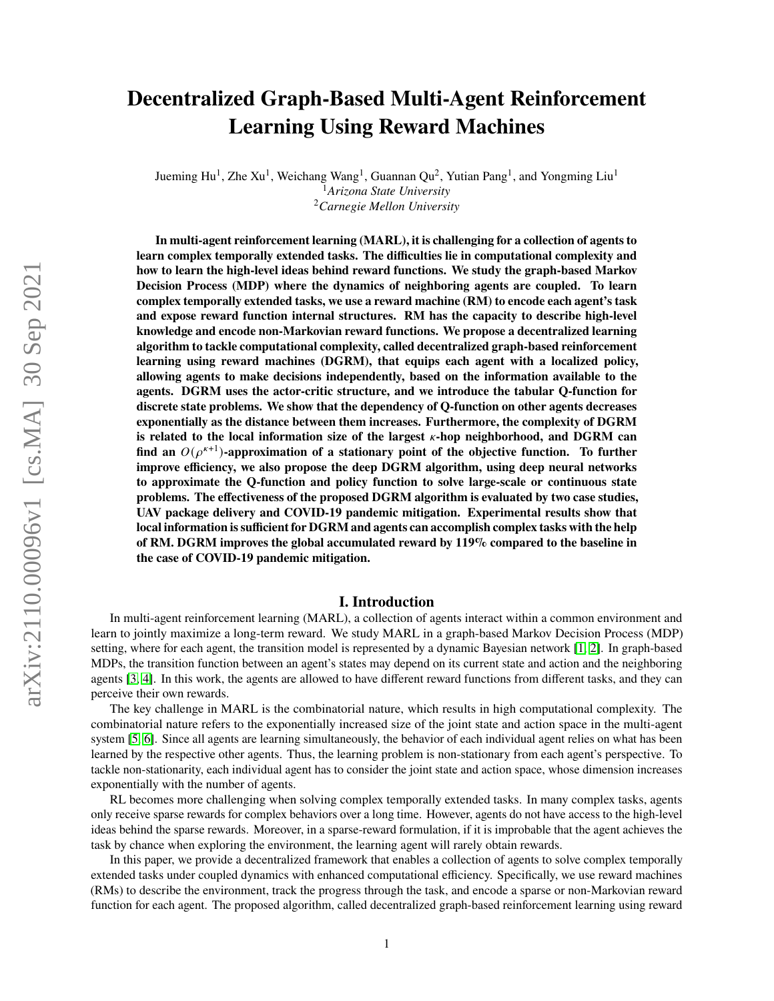# **Decentralized Graph-Based Multi-Agent Reinforcement Learning Using Reward Machines**

Jueming Hu<sup>1</sup>, Zhe Xu<sup>1</sup>, Weichang Wang<sup>1</sup>, Guannan Qu<sup>2</sup>, Yutian Pang<sup>1</sup>, and Yongming Liu<sup>1</sup> <sup>1</sup>*Arizona State University* <sup>2</sup>*Carnegie Mellon University*

**In multi-agent reinforcement learning (MARL), it is challenging for a collection of agents to learn complex temporally extended tasks. The difficulties lie in computational complexity and how to learn the high-level ideas behind reward functions. We study the graph-based Markov Decision Process (MDP) where the dynamics of neighboring agents are coupled. To learn complex temporally extended tasks, we use a reward machine (RM) to encode each agent's task and expose reward function internal structures. RM has the capacity to describe high-level knowledge and encode non-Markovian reward functions. We propose a decentralized learning algorithm to tackle computational complexity, called decentralized graph-based reinforcement learning using reward machines (DGRM), that equips each agent with a localized policy, allowing agents to make decisions independently, based on the information available to the agents. DGRM uses the actor-critic structure, and we introduce the tabular Q-function for discrete state problems. We show that the dependency of Q-function on other agents decreases exponentially as the distance between them increases. Furthermore, the complexity of DGRM is related to the local information size of the largest -hop neighborhood, and DGRM can** find an  $O(\rho^{\kappa+1})$ -approximation of a stationary point of the objective function. To further **improve efficiency, we also propose the deep DGRM algorithm, using deep neural networks to approximate the Q-function and policy function to solve large-scale or continuous state problems. The effectiveness of the proposed DGRM algorithm is evaluated by two case studies, UAV package delivery and COVID-19 pandemic mitigation. Experimental results show that local information is sufficient for DGRM and agents can accomplish complex tasks with the help of RM. DGRM improves the global accumulated reward by 119% compared to the baseline in the case of COVID-19 pandemic mitigation.**

# **I. Introduction**

In multi-agent reinforcement learning (MARL), a collection of agents interact within a common environment and learn to jointly maximize a long-term reward. We study MARL in a graph-based Markov Decision Process (MDP) setting, where for each agent, the transition model is represented by a dynamic Bayesian network [\[1,](#page-9-0) [2\]](#page-9-1). In graph-based MDPs, the transition function between an agent's states may depend on its current state and action and the neighboring agents [\[3,](#page-9-2) [4\]](#page-9-3). In this work, the agents are allowed to have different reward functions from different tasks, and they can perceive their own rewards.

The key challenge in MARL is the combinatorial nature, which results in high computational complexity. The combinatorial nature refers to the exponentially increased size of the joint state and action space in the multi-agent system [\[5,](#page-9-4) [6\]](#page-9-5). Since all agents are learning simultaneously, the behavior of each individual agent relies on what has been learned by the respective other agents. Thus, the learning problem is non-stationary from each agent's perspective. To tackle non-stationarity, each individual agent has to consider the joint state and action space, whose dimension increases exponentially with the number of agents.

RL becomes more challenging when solving complex temporally extended tasks. In many complex tasks, agents only receive sparse rewards for complex behaviors over a long time. However, agents do not have access to the high-level ideas behind the sparse rewards. Moreover, in a sparse-reward formulation, if it is improbable that the agent achieves the task by chance when exploring the environment, the learning agent will rarely obtain rewards.

In this paper, we provide a decentralized framework that enables a collection of agents to solve complex temporally extended tasks under coupled dynamics with enhanced computational efficiency. Specifically, we use reward machines (RMs) to describe the environment, track the progress through the task, and encode a sparse or non-Markovian reward function for each agent. The proposed algorithm, called decentralized graph-based reinforcement learning using reward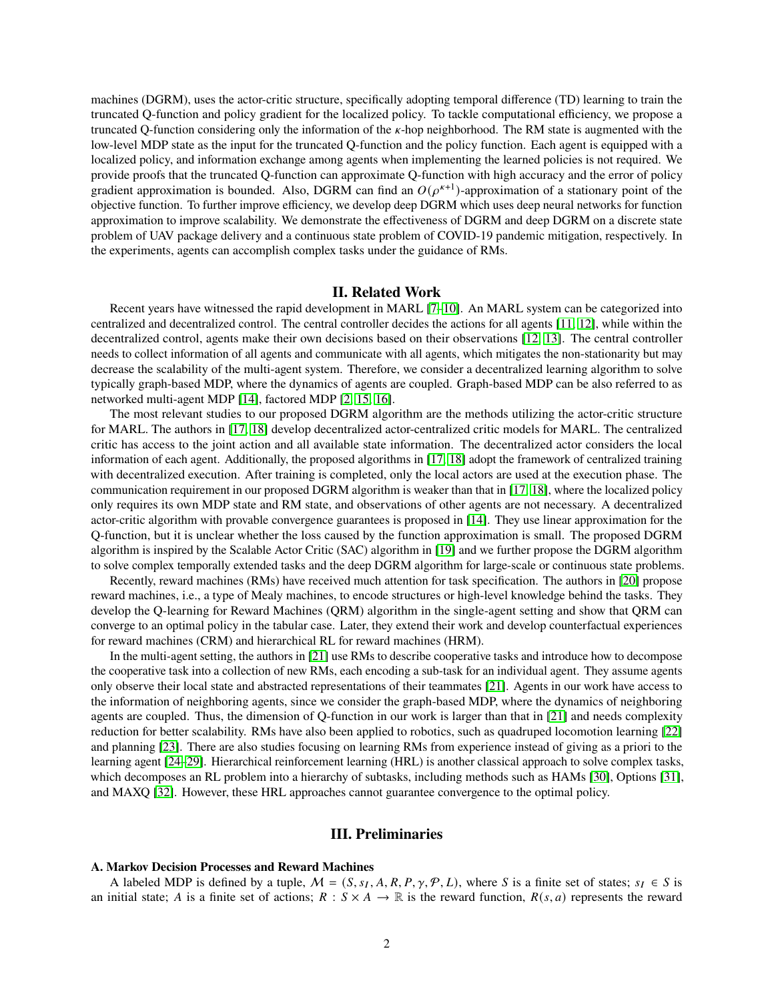machines (DGRM), uses the actor-critic structure, specifically adopting temporal difference (TD) learning to train the truncated Q-function and policy gradient for the localized policy. To tackle computational efficiency, we propose a truncated Q-function considering only the information of the  $\kappa$ -hop neighborhood. The RM state is augmented with the low-level MDP state as the input for the truncated Q-function and the policy function. Each agent is equipped with a localized policy, and information exchange among agents when implementing the learned policies is not required. We provide proofs that the truncated Q-function can approximate Q-function with high accuracy and the error of policy gradient approximation is bounded. Also, DGRM can find an  $O(\rho^{\kappa+1})$ -approximation of a stationary point of the objective function. To further improve efficiency, we develop deep DGRM which uses deep neural networks for function approximation to improve scalability. We demonstrate the effectiveness of DGRM and deep DGRM on a discrete state problem of UAV package delivery and a continuous state problem of COVID-19 pandemic mitigation, respectively. In the experiments, agents can accomplish complex tasks under the guidance of RMs.

# **II. Related Work**

Recent years have witnessed the rapid development in MARL [\[7–](#page-10-0)[10\]](#page-10-1). An MARL system can be categorized into centralized and decentralized control. The central controller decides the actions for all agents [\[11,](#page-10-2) [12\]](#page-10-3), while within the decentralized control, agents make their own decisions based on their observations [\[12,](#page-10-3) [13\]](#page-10-4). The central controller needs to collect information of all agents and communicate with all agents, which mitigates the non-stationarity but may decrease the scalability of the multi-agent system. Therefore, we consider a decentralized learning algorithm to solve typically graph-based MDP, where the dynamics of agents are coupled. Graph-based MDP can be also referred to as networked multi-agent MDP [\[14\]](#page-10-5), factored MDP [\[2,](#page-9-1) [15,](#page-10-6) [16\]](#page-10-7).

The most relevant studies to our proposed DGRM algorithm are the methods utilizing the actor-critic structure for MARL. The authors in [\[17,](#page-10-8) [18\]](#page-10-9) develop decentralized actor-centralized critic models for MARL. The centralized critic has access to the joint action and all available state information. The decentralized actor considers the local information of each agent. Additionally, the proposed algorithms in [\[17,](#page-10-8) [18\]](#page-10-9) adopt the framework of centralized training with decentralized execution. After training is completed, only the local actors are used at the execution phase. The communication requirement in our proposed DGRM algorithm is weaker than that in [\[17,](#page-10-8) [18\]](#page-10-9), where the localized policy only requires its own MDP state and RM state, and observations of other agents are not necessary. A decentralized actor-critic algorithm with provable convergence guarantees is proposed in [\[14\]](#page-10-5). They use linear approximation for the Q-function, but it is unclear whether the loss caused by the function approximation is small. The proposed DGRM algorithm is inspired by the Scalable Actor Critic (SAC) algorithm in [\[19\]](#page-10-10) and we further propose the DGRM algorithm to solve complex temporally extended tasks and the deep DGRM algorithm for large-scale or continuous state problems.

Recently, reward machines (RMs) have received much attention for task specification. The authors in [\[20\]](#page-10-11) propose reward machines, i.e., a type of Mealy machines, to encode structures or high-level knowledge behind the tasks. They develop the Q-learning for Reward Machines (QRM) algorithm in the single-agent setting and show that QRM can converge to an optimal policy in the tabular case. Later, they extend their work and develop counterfactual experiences for reward machines (CRM) and hierarchical RL for reward machines (HRM).

In the multi-agent setting, the authors in [\[21\]](#page-10-12) use RMs to describe cooperative tasks and introduce how to decompose the cooperative task into a collection of new RMs, each encoding a sub-task for an individual agent. They assume agents only observe their local state and abstracted representations of their teammates [\[21\]](#page-10-12). Agents in our work have access to the information of neighboring agents, since we consider the graph-based MDP, where the dynamics of neighboring agents are coupled. Thus, the dimension of Q-function in our work is larger than that in [\[21\]](#page-10-12) and needs complexity reduction for better scalability. RMs have also been applied to robotics, such as quadruped locomotion learning [\[22\]](#page-10-13) and planning [\[23\]](#page-10-14). There are also studies focusing on learning RMs from experience instead of giving as a priori to the learning agent [\[24–](#page-10-15)[29\]](#page-11-0). Hierarchical reinforcement learning (HRL) is another classical approach to solve complex tasks, which decomposes an RL problem into a hierarchy of subtasks, including methods such as HAMs [\[30\]](#page-11-1), Options [\[31\]](#page-11-2), and MAXQ [\[32\]](#page-11-3). However, these HRL approaches cannot guarantee convergence to the optimal policy.

# **III. Preliminaries**

#### **A. Markov Decision Processes and Reward Machines**

A labeled MDP is defined by a tuple,  $M = (S, s_I, A, R, P, \gamma, P, L)$ , where S is a finite set of states;  $s_I \in S$  is an initial state; A is a finite set of actions;  $R : S \times A \to \mathbb{R}$  is the reward function,  $R(s, a)$  represents the reward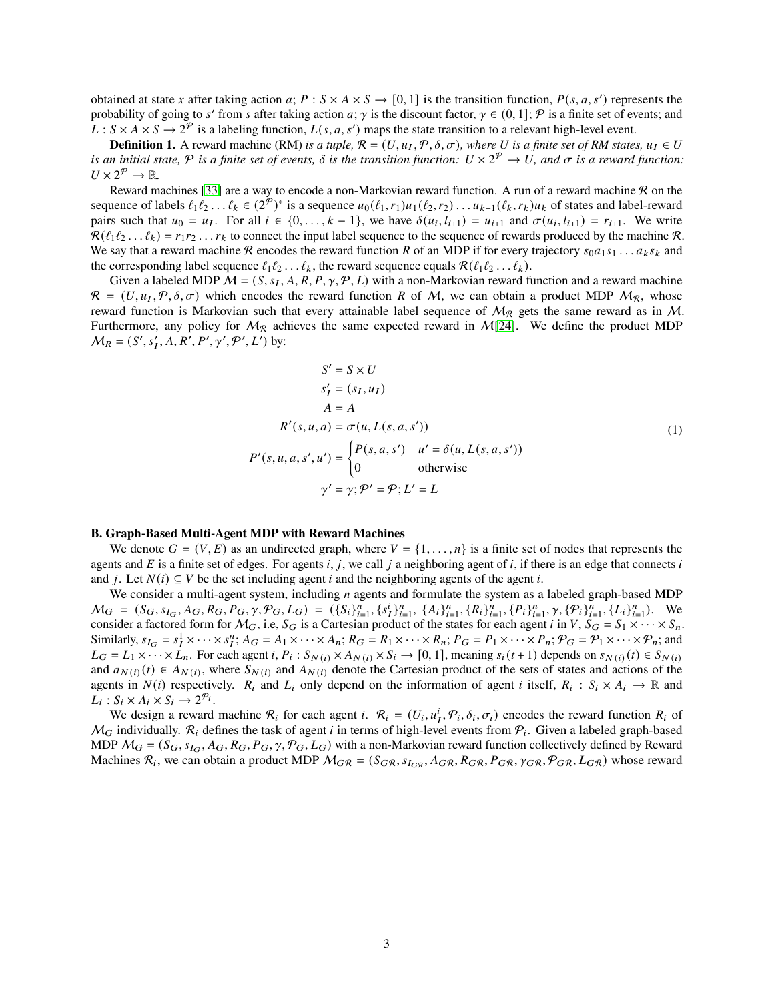obtained at state x after taking action  $a$ ;  $P : S \times A \times S \rightarrow [0, 1]$  is the transition function,  $P(s, a, s')$  represents the probability of going to s' from s after taking action a;  $\gamma$  is the discount factor,  $\gamma \in (0,1]$ ;  $\mathcal P$  is a finite set of events; and  $L: S \times A \times S \to 2^p$  is a labeling function,  $L(s, a, s')$  maps the state transition to a relevant high-level event.

**Definition 1.** A reward machine (RM) *is a tuple,*  $R = (U, u_I, \mathcal{P}, \delta, \sigma)$ , where U is a finite set of RM states,  $u_I \in U$ is an initial state,  $P$  is a finite set of events,  $\delta$  is the transition function:  $U\times 2^{\mathcal{P}}\to U$ , and  $\sigma$  is a reward function:  $U\times 2^{\mathcal{P}}\rightarrow \mathbb{R}$ .

Reward machines [\[33\]](#page-11-4) are a way to encode a non-Markovian reward function. A run of a reward machine  $\mathcal R$  on the sequence of labels  $\ell_1\ell_2\ldots\ell_k \in (2^{\overline{p}})^*$  is a sequence  $u_0(\ell_1,r_1)u_1(\ell_2,r_2)\ldots u_{k-1}(\ell_k,r_k)u_k$  of states and label-reward pairs such that  $u_0 = u_I$ . For all  $i \in \{0, \ldots, k-1\}$ , we have  $\delta(u_i, l_{i+1}) = u_{i+1}$  and  $\sigma(u_i, l_{i+1}) = r_{i+1}$ . We write  $\mathcal{R}(\ell_1\ell_2 \ldots \ell_k) = r_1 r_2 \ldots r_k$  to connect the input label sequence to the sequence of rewards produced by the machine  $\mathcal{R}$ . We say that a reward machine R encodes the reward function R of an MDP if for every trajectory  $s_0a_1s_1...a_ks_k$  and the corresponding label sequence  $\ell_1 \ell_2 \ldots \ell_k$ , the reward sequence equals  $\mathcal{R}(\ell_1 \ell_2 \ldots \ell_k)$ .

Given a labeled MDP  $M = (S, s_I, A, R, P, \gamma, P, L)$  with a non-Markovian reward function and a reward machine  $R = (U, u_I, P, \delta, \sigma)$  which encodes the reward function R of M, we can obtain a product MDP  $M_R$ , whose reward function is Markovian such that every attainable label sequence of  $M_{\mathcal{R}}$  gets the same reward as in M. Furthermore, any policy for  $M_{\mathcal{R}}$  achieves the same expected reward in M[\[24\]](#page-10-15). We define the product MDP  $M_R = (S', s'_1, A, R', P', \gamma', \mathcal{P}', L')$  by:

$$
S' = S \times U
$$
  
\n
$$
s'_{I} = (s_{I}, u_{I})
$$
  
\n
$$
A = A
$$
  
\n
$$
R'(s, u, a) = \sigma(u, L(s, a, s'))
$$
  
\n
$$
P'(s, u, a, s', u') = \begin{cases} P(s, a, s') & u' = \delta(u, L(s, a, s')) \\ 0 & \text{otherwise} \end{cases}
$$
  
\n
$$
\gamma' = \gamma; \mathcal{P}' = \mathcal{P}; L' = L
$$
 (1)

#### **B. Graph-Based Multi-Agent MDP with Reward Machines**

We denote  $G = (V, E)$  as an undirected graph, where  $V = \{1, \ldots, n\}$  is a finite set of nodes that represents the agents and  $E$  is a finite set of edges. For agents i, j, we call j a neighboring agent of i, if there is an edge that connects i and *i*. Let  $N(i) \subseteq V$  be the set including agent *i* and the neighboring agents of the agent *i*.

We consider a multi-agent system, including  $n$  agents and formulate the system as a labeled graph-based MDP  $M_G = (S_G, s_{I_G}, A_G, R_G, P_G, \gamma, \mathcal{P}_G, L_G) = (\{S_i\}_{i=1}^n, \{s_I^i\}_{i=1}^n, \{A_i\}_{i=1}^n, \{R_i\}_{i=1}^n, \{P_i\}_{i=1}^n, \gamma, \{\mathcal{P}_i\}_{i=1}^n, \{L_i\}_{i=1}^n)$ . We consider a factored form for  $M_G$ , i.e,  $S_G$  is a Cartesian product of the states for each agent *i* in V,  $S_G = S_1 \times \cdots \times S_n$ . Similarly,  $s_{I_G} = s_I^1 \times \cdots \times s_I^n$ ;  $A_G = A_1 \times \cdots \times A_n$ ;  $R_G = R_1 \times \cdots \times R_n$ ;  $P_G = P_1 \times \cdots \times P_n$ ;  $\mathcal{P}_G = \mathcal{P}_1 \times \cdots \times \mathcal{P}_n$ ; and  $L_G = L_1 \times \cdots \times L_n$ . For each agent i,  $P_i: S_{N(i)} \times A_{N(i)} \times S_i \to [0,1]$ , meaning  $s_i(t+1)$  depends on  $s_{N(i)}(t) \in S_{N(i)}$ and  $a_{N(i)}$  (t)  $\in A_{N(i)}$ , where  $S_{N(i)}$  and  $A_{N(i)}$  denote the Cartesian product of the sets of states and actions of the agents in  $N(i)$  respectively.  $R_i$  and  $L_i$  only depend on the information of agent *i* itself,  $R_i : S_i \times A_i \to \mathbb{R}$  and  $L_i: S_i \times A_i \times S_i \rightarrow 2^{\mathcal{P}_i}.$ 

We design a reward machine  $\mathcal{R}_i$  for each agent i.  $\mathcal{R}_i = (U_i, u_i^i, \mathcal{P}_i, \delta_i, \sigma_i)$  encodes the reward function  $R_i$  of  $M_G$  individually.  $R_i$  defines the task of agent *i* in terms of high-level events from  $P_i$ . Given a labeled graph-based MDP  $M_G = (S_G, s_{I_G}, A_G, R_G, P_G, \gamma, \mathcal{P}_G, L_G)$  with a non-Markovian reward function collectively defined by Reward Machines  $R_i$ , we can obtain a product MDP  $M_{GR} = (S_{GR}, s_{I_{GR}}, A_{GR}, R_{GR}, P_{GR}, \gamma_{GR}, \mathcal{P}_{GR}, L_{GR})$  whose reward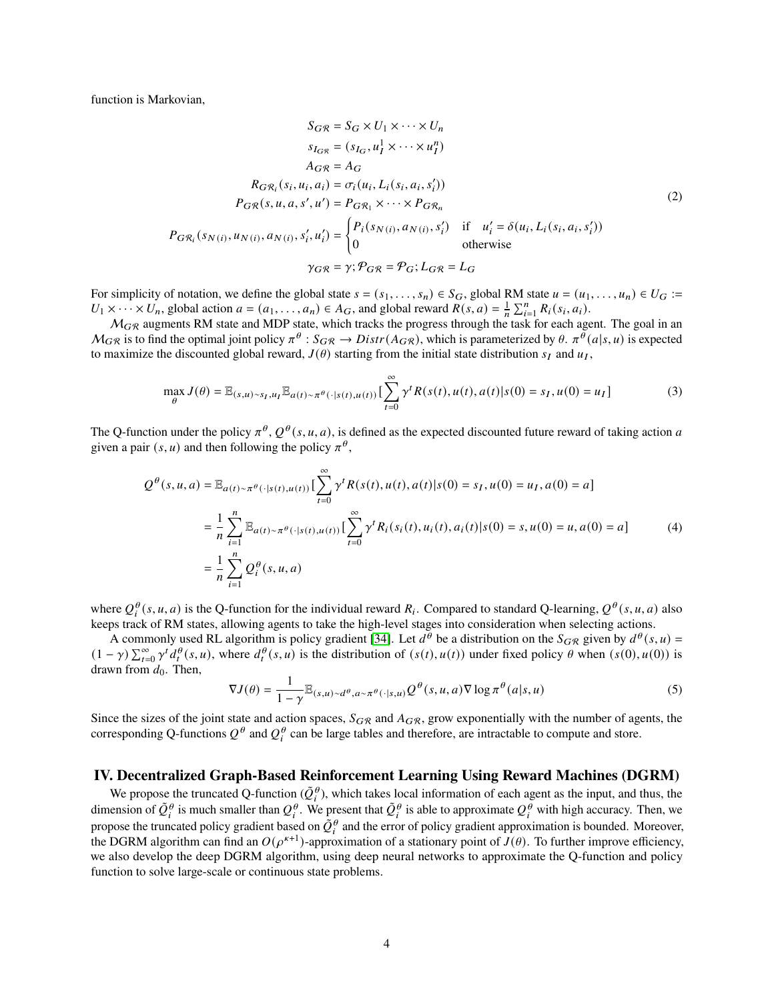function is Markovian,

$$
S_{G\mathcal{R}} = S_G \times U_1 \times \cdots \times U_n
$$
  
\n
$$
s_{I_{G\mathcal{R}}} = (s_{I_G}, u_I^1 \times \cdots \times u_I^n)
$$
  
\n
$$
A_{G\mathcal{R}} = A_G
$$
  
\n
$$
R_{G\mathcal{R}_i}(s_i, u_i, a_i) = \sigma_i(u_i, L_i(s_i, a_i, s'_i))
$$
  
\n
$$
P_{G\mathcal{R}}(s, u, a, s', u') = P_{G\mathcal{R}_1} \times \cdots \times P_{G\mathcal{R}_n}
$$
  
\n
$$
P_{G\mathcal{R}_i}(s_{N(i)}, u_{N(i)}, s_i', u'_i) = \begin{cases} P_i(s_{N(i)}, a_{N(i)}, s'_i) & \text{if } u'_i = \delta(u_i, L_i(s_i, a_i, s'_i)) \\ 0 & \text{otherwise} \end{cases}
$$
  
\n
$$
\gamma_{G\mathcal{R}} = \gamma; \mathcal{P}_{G\mathcal{R}} = \mathcal{P}_G; L_{G\mathcal{R}} = L_G
$$
  
\n(2)

For simplicity of notation, we define the global state  $s = (s_1, \ldots, s_n) \in S_G$ , global RM state  $u = (u_1, \ldots, u_n) \in U_G$ :=  $U_1 \times \cdots \times U_n$ , global action  $a = (a_1, \ldots, a_n) \in A_G$ , and global reward  $R(s, a) = \frac{1}{n} \sum_{i=1}^n R_i(s_i, a_i)$ .

 $M_{GR}$  augments RM state and MDP state, which tracks the progress through the task for each agent. The goal in an  $M_{GR}$  is to find the optimal joint policy  $\pi^{\theta}: S_{GR} \to Distr(A_{GR})$ , which is parameterized by  $\theta$ .  $\pi^{\theta}(a|s,u)$  is expected to maximize the discounted global reward,  $J(\theta)$  starting from the initial state distribution  $s_I$  and  $u_I$ ,

$$
\max_{\theta} J(\theta) = \mathbb{E}_{(s,u)\sim s_I, u_I} \mathbb{E}_{a(t)\sim \pi^{\theta}(\cdot|s(t), u(t))} \left[ \sum_{t=0}^{\infty} \gamma^t R(s(t), u(t), a(t)|s(0) = s_I, u(0) = u_I \right]
$$
(3)

The Q-function under the policy  $\pi^{\theta}$ ,  $Q^{\theta}(s, u, a)$ , is defined as the expected discounted future reward of taking action a given a pair  $(s, u)$  and then following the policy  $\pi^{\theta}$ ,

$$
Q^{\theta}(s, u, a) = \mathbb{E}_{a(t) \sim \pi^{\theta}(\cdot | s(t), u(t))} \left[ \sum_{t=0}^{\infty} \gamma^{t} R(s(t), u(t), a(t) | s(0) = s_{I}, u(0) = u_{I}, a(0) = a \right]
$$
  

$$
= \frac{1}{n} \sum_{i=1}^{n} \mathbb{E}_{a(t) \sim \pi^{\theta}(\cdot | s(t), u(t))} \left[ \sum_{t=0}^{\infty} \gamma^{t} R_{i}(s_{i}(t), u_{i}(t), a_{i}(t) | s(0) = s, u(0) = u, a(0) = a \right]
$$
  

$$
= \frac{1}{n} \sum_{i=1}^{n} Q_{i}^{\theta}(s, u, a)
$$
 (4)

where  $Q_i^{\theta}(s, u, a)$  is the Q-function for the individual reward  $R_i$ . Compared to standard Q-learning,  $Q^{\theta}(s, u, a)$  also keeps track of RM states, allowing agents to take the high-level stages into consideration when selecting actions.

A commonly used RL algorithm is policy gradient [\[34\]](#page-11-5). Let  $d^{\theta}$  be a distribution on the  $S_{GR}$  given by  $d^{\theta}(s, u) =$  $(1 - \gamma) \sum_{t=0}^{\infty} \gamma^{t} d_{t}^{\theta}(s, u)$ , where  $d_{t}^{\theta}(s, u)$  is the distribution of  $(s(t), u(t))$  under fixed policy  $\theta$  when  $(s(0), u(0))$  is drawn from  $d_0$ . Then,

$$
\nabla J(\theta) = \frac{1}{1 - \gamma} \mathbb{E}_{(s,u) \sim d^{\theta}, a \sim \pi^{\theta}(\cdot | s, u)} Q^{\theta}(s, u, a) \nabla \log \pi^{\theta}(a | s, u)
$$
(5)

Since the sizes of the joint state and action spaces,  $S_{GR}$  and  $A_{GR}$ , grow exponentially with the number of agents, the corresponding Q-functions  $Q^{\theta}$  and  $Q_i^{\theta}$  can be large tables and therefore, are intractable to compute and store.

#### **IV. Decentralized Graph-Based Reinforcement Learning Using Reward Machines (DGRM)**

We propose the truncated Q-function  $(\tilde{Q}_i^{\theta})$ , which takes local information of each agent as the input, and thus, the dimension of  $\tilde{Q}^\theta_i$  is much smaller than  $Q^\theta_i$ . We present that  $\tilde{Q}^\theta_i$  is able to approximate  $Q^\theta_i$  with high accuracy. Then, we propose the truncated policy gradient based on  $\tilde{Q}_i^{\theta}$  and the error of policy gradient approximation is bounded. Moreover, the DGRM algorithm can find an  $O(\rho^{\kappa+1})$ -approximation of a stationary point of  $\tilde{J}(\theta)$ . To further improve efficiency, we also develop the deep DGRM algorithm, using deep neural networks to approximate the Q-function and policy function to solve large-scale or continuous state problems.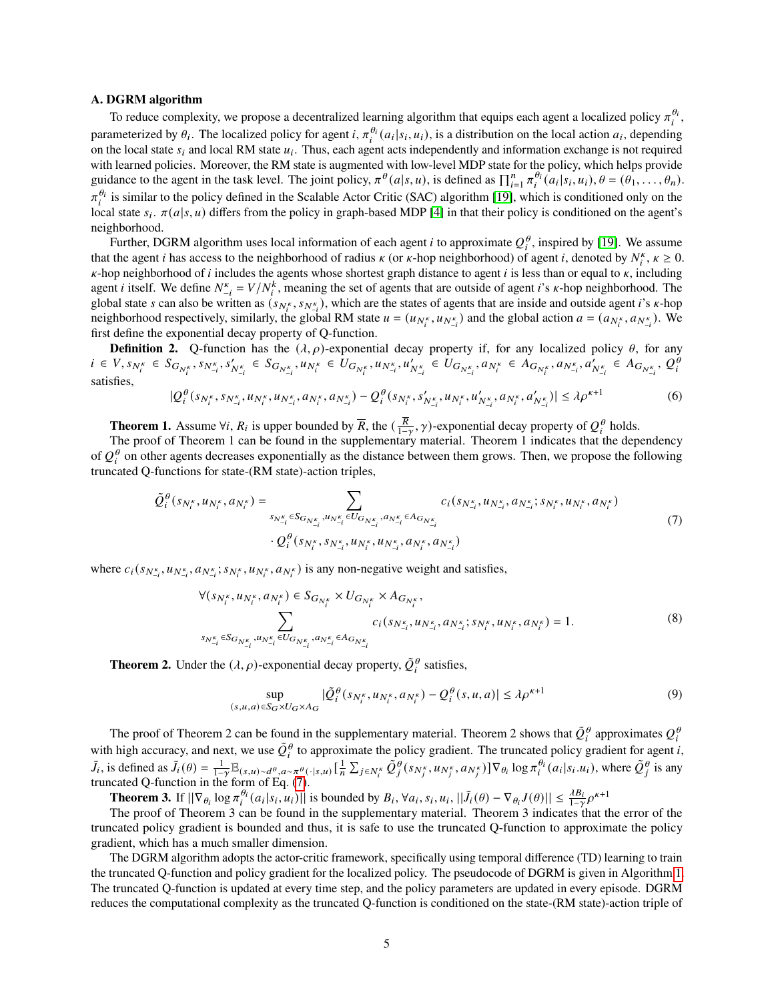#### **A. DGRM algorithm**

To reduce complexity, we propose a decentralized learning algorithm that equips each agent a localized policy  $\pi_i^{\theta_i}$ , parameterized by  $\theta_i$ . The localized policy for agent i,  $\pi_i^{\theta_i}(a_i|s_i, u_i)$ , is a distribution on the local action  $a_i$ , depending on the local state  $s_i$  and local RM state  $u_i$ . Thus, each agent acts independently and information exchange is not required with learned policies. Moreover, the RM state is augmented with low-level MDP state for the policy, which helps provide guidance to the agent in the task level. The joint policy,  $\pi^{\theta}(a|s, u)$ , is defined as  $\prod_{i=1}^{n} \pi_i^{\theta_i}(a_i|s_i, u_i)$ ,  $\theta = (\theta_1, \dots, \theta_n)$ .  $\pi_i^{\theta_i}$  is similar to the policy defined in the Scalable Actor Critic (SAC) algorithm [\[19\]](#page-10-10), which is conditioned only on the local state  $s_i$ .  $\pi(a|s, u)$  differs from the policy in graph-based MDP [\[4\]](#page-9-3) in that their policy is conditioned on the agent's neighborhood.

Further, DGRM algorithm uses local information of each agent *i* to approximate  $Q_i^{\theta}$ , inspired by [\[19\]](#page-10-10). We assume that the agent *i* has access to the neighborhood of radius  $\kappa$  (or  $\kappa$ -hop neighborhood) of agent *i*, denoted by  $N_i^{\kappa}$ ,  $\kappa \ge 0$ .  $\kappa$ -hop neighborhood of *i* includes the agents whose shortest graph distance to agent *i* is less than or equal to  $\kappa$ , including agent *i* itself. We define  $N_{-i}^k = V/N_i^k$ , meaning the set of agents that are outside of agent *i*'s  $\kappa$ -hop neighborhood. The global state *s* can also be written as  $(s_{N_t^k}, s_{N_{-i}^k})$ , which are the states of agents that are inside and outside agent *i*'s *k*-hop neighborhood respectively, similarly, the global RM state  $u = (u_{N_t^k}, u_{N_{-i}^k})$  and the global action  $a = (a_{N_t^k}, a_{N_{-i}^k})$ . We first define the exponential decay property of Q-function.

**Definition 2.** Q-function has the  $(\lambda, \rho)$ -exponential decay property if, for any localized policy  $\theta$ , for any  $i \in V, s_{N^{\kappa}_{i}} \in S_{G_{N^{\kappa}_{i}}}, s_{N^{\kappa}_{-i}}, s'_{N^{\kappa}_{-i}} \in S_{G_{N^{\kappa}_{-i}}}, u_{N^{\kappa}_{i}} \in U_{G_{N^{\kappa}_{i}}}, u_{N^{\kappa}_{-i}} \in U_{G_{N^{\kappa}_{-i}}}, a_{N^{\kappa}_{i}} \in A_{G_{N^{\kappa}_{i}}}, a_{N^{\kappa}_{-i}} \in A_{G_{N^{\kappa}_{-i}}}, a'_{N^{\kappa}_{-i}} \in A_{G_{N^{\kappa}_{-i}}}, a'_{N^{\kappa}_{-i}} \in A_{G_{N$ satisfies,

$$
|Q_i^{\theta}(s_{N_i^{\kappa}}, s_{N_{-i}^{\kappa}}, u_{N_i^{\kappa}}, u_{N_{-i}^{\kappa}}, a_{N_i^{\kappa}}, a_{N_{-i}^{\kappa}}) - Q_i^{\theta}(s_{N_i^{\kappa}}, s'_{N_{-i}^{\kappa}}, u_{N_i^{\kappa}}, u'_{N_{-i}^{\kappa}}, a_{N_i^{\kappa}}, a'_{N_{-i}^{\kappa}})| \leq \lambda \rho^{\kappa+1}
$$
(6)

**Theorem 1.** Assume  $\forall i$ ,  $R_i$  is upper bounded by  $\overline{R}$ , the  $(\frac{\overline{R}}{1-\gamma}, \gamma)$ -exponential decay property of  $Q_i^{\theta}$  holds.

The proof of Theorem 1 can be found in the supplementary material. Theorem 1 indicates that the dependency  $\Omega_{\text{on}}^{\theta}$  on other genetic degreeses exponentially so the distance between them groups. Then we groups the fo of  $Q_i^{\theta}$  on other agents decreases exponentially as the distance between them grows. Then, we propose the following truncated Q-functions for state-(RM state)-action triples,

<span id="page-4-0"></span>
$$
\tilde{Q}_{i}^{\theta}(s_{N_{i}^{\kappa}}, u_{N_{i}^{\kappa}}, a_{N_{i}^{\kappa}}) = \sum_{s_{N_{-i}^{\kappa}} \in S_{G_{N_{-i}^{\kappa}}}, u_{N_{-i}^{\kappa}} \in U_{G_{N_{-i}^{\kappa}}}, a_{N_{-i}^{\kappa}} \in A_{G_{N_{-i}^{\kappa}}}} c_{i}(s_{N_{-i}^{\kappa}}, u_{N_{-i}^{\kappa}}, a_{N_{-i}^{\kappa}}; s_{N_{i}^{\kappa}}, u_{N_{i}^{\kappa}}, a_{N_{i}^{\kappa}})
$$
\n
$$
\cdot Q_{i}^{\theta}(s_{N_{i}^{\kappa}}, s_{N_{-i}^{\kappa}}, u_{N_{i}^{\kappa}}, a_{N_{i}^{\kappa}}, a_{N_{-i}^{\kappa}})
$$
\n
$$
(7)
$$

where  $c_i(s_{N_{-i}^k}, u_{N_{-i}^k}; s_{N_i^k}, u_{N_i^k}, a_{N_i^k})$  is any non-negative weight and satisfies,

$$
\forall (s_{N_i^{\kappa}}, u_{N_i^{\kappa}}, a_{N_i^{\kappa}}) \in S_{G_{N_i^{\kappa}}} \times U_{G_{N_i^{\kappa}}} \times A_{G_{N_i^{\kappa}}},
$$
  

$$
\sum_{s_{N_{-i}^{\kappa}} \in S_{G_{N_{-i}^{\kappa}}}, u_{N_{-i}^{\kappa}} \in U_{G_{N_{-i}^{\kappa}}}, a_{N_{-i}^{\kappa}} \in A_{G_{N_{-i}^{\kappa}}}} c_i(s_{N_{-i}^{\kappa}}, u_{N_{-i}^{\kappa}}, s_{N_i^{\kappa}}, u_{N_i^{\kappa}}, a_{N_i^{\kappa}}) = 1.
$$
  
(8)

**Theorem 2.** Under the  $(\lambda, \rho)$ -exponential decay property,  $\tilde{Q}_i^{\theta}$  satisfies,

$$
\sup_{(s,u,a)\in S_G\times U_G\times A_G} |\tilde{Q}_i^{\theta}(s_{N_i^{\kappa}}, u_{N_i^{\kappa}}, a_{N_i^{\kappa}}) - Q_i^{\theta}(s, u, a)| \leq \lambda \rho^{\kappa+1}
$$
\n(9)

The proof of Theorem 2 can be found in the supplementary material. Theorem 2 shows that  $\tilde{Q}_i^{\theta}$  approximates  $Q_i^{\theta}$ with high accuracy, and next, we use  $\tilde{Q}_i^{\theta}$  to approximate the policy gradient. The truncated policy gradient for agent *i*,  $\tilde{J}_i$ , is defined as  $\tilde{J}_i(\theta) = \frac{1}{1-\gamma} \mathbb{E}_{(s,u) \sim d^\theta, a \sim \pi^\theta(\cdot | s,u)} \left[ \frac{1}{n} \sum_{j \in N_i^{\kappa}} \tilde{Q}_j^{\theta}(s_{N_j^{\kappa}}, u_{N_j^{\kappa}}, a_{N_j^{\kappa}}) \right] \nabla_{\theta_i} \log \pi_i^{\theta_i}(a_i | s_i.u_i),$  where  $\tilde{Q}_j^{\theta}$  is any truncated Q-function in the form of Eq. [\(7\)](#page-4-0).

**Theorem 3.** If  $||\nabla_{\theta_i} \log \pi_i^{\theta_i}(a_i|s_i, u_i)||$  is bounded by  $B_i$ ,  $\forall a_i, s_i, u_i$ ,  $||\tilde{J}_i(\theta) - \nabla_{\theta_i} J(\theta)|| \leq \frac{\lambda B_i}{1-\gamma} \rho^{\kappa+1}$ 

The proof of Theorem 3 can be found in the supplementary material. Theorem 3 indicates that the error of the truncated policy gradient is bounded and thus, it is safe to use the truncated Q-function to approximate the policy gradient, which has a much smaller dimension.

The DGRM algorithm adopts the actor-critic framework, specifically using temporal difference (TD) learning to train the truncated Q-function and policy gradient for the localized policy. The pseudocode of DGRM is given in Algorithm [1.](#page-5-0) The truncated Q-function is updated at every time step, and the policy parameters are updated in every episode. DGRM reduces the computational complexity as the truncated Q-function is conditioned on the state-(RM state)-action triple of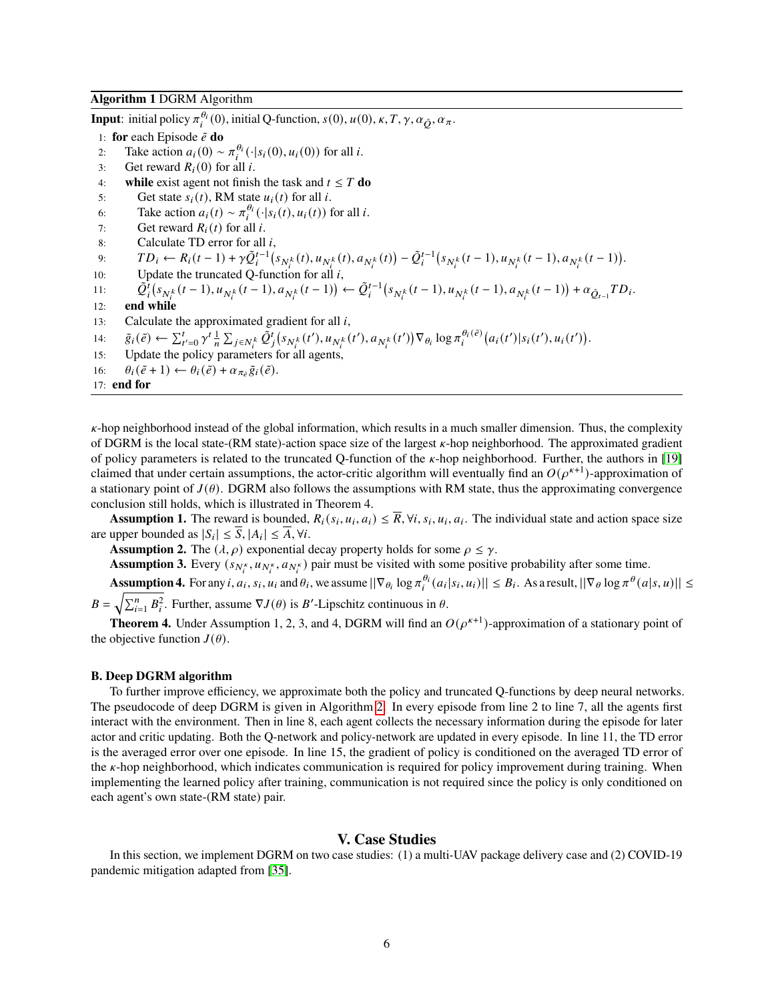#### <span id="page-5-0"></span>**Algorithm 1** DGRM Algorithm

**Input**: initial policy  $\pi_i^{\theta_i}(0)$ , initial Q-function,  $s(0)$ ,  $u(0)$ ,  $\kappa$ ,  $T$ ,  $\gamma$ ,  $\alpha_{\tilde{O}}$ ,  $\alpha_{\pi}$ .

- 1: **for** each Episode  $\tilde{e}$  **do**
- 2: Take action  $a_i(0) \sim \pi_i^{\theta_i}(\cdot|s_i(0), u_i(0))$  for all *i*.
- 3: Get reward  $R_i(0)$  for all i.
- 4: **while** exist agent not finish the task and  $t \leq T$  do
- 5: Get state  $s_i(t)$ , RM state  $u_i(t)$  for all i.
- 6: Take action  $a_i(t) \sim \pi_i^{\theta_i}(\cdot|s_i(t), u_i(t))$  for all *i*.
- 7: Get reward  $R_i(t)$  for all i.
- 8: Calculate TD error for all  $i$ ,
- 9:  $TD_i \leftarrow R_i(t-1) + \gamma \tilde{Q}_i^{t-1} \left( s_{N_i^k}(t), u_{N_i^k}(t), a_{N_i^k}(t) \right) \tilde{Q}_i^{t-1} \left( s_{N_i^k}(t-1), u_{N_i^k}(t-1), a_{N_i^k}(t-1) \right).$
- 10: Update the truncated Q-function for all  $i$ ,

11: 
$$
\tilde{Q}_i^t(s_{N_t^k}(t-1), u_{N_t^k}(t-1), a_{N_t^k}(t-1)) \leftarrow \tilde{Q}_i^{t-1}(s_{N_t^k}(t-1), u_{N_t^k}(t-1), a_{N_t^k}(t-1)) + \alpha_{\tilde{Q}_{t-1}} TD_i.
$$

- 12: **end while**
- 13: Calculate the approximated gradient for all  $i$ ,
- 14:  $\tilde{g}_i(\tilde{e}) \leftarrow \sum_{t'=0}^t \gamma^t \frac{1}{n} \sum_{j \in N_i^k} \tilde{Q}_j^t (s_{N_i^k}(t'), u_{N_i^k}(t'), a_{N_i^k}(t')) \nabla_{\theta_i} \log \pi_i^{\theta_i(\tilde{e})} (a_i(t') | s_i(t'), u_i(t')).$
- 15: Update the policy parameters for all agents,
- 16:  $\theta_i(\tilde{e}+1) \leftarrow \theta_i(\tilde{e}) + \alpha_{\pi_{\tilde{e}}} \tilde{g}_i(\tilde{e}).$

17: **end for**

 $\kappa$ -hop neighborhood instead of the global information, which results in a much smaller dimension. Thus, the complexity of DGRM is the local state-(RM state)-action space size of the largest  $\kappa$ -hop neighborhood. The approximated gradient of policy parameters is related to the truncated Q-function of the  $\kappa$ -hop neighborhood. Further, the authors in [\[19\]](#page-10-10) claimed that under certain assumptions, the actor-critic algorithm will eventually find an  $O(\rho^{k+1})$ -approximation of a stationary point of  $J(\theta)$ . DGRM also follows the assumptions with RM state, thus the approximating convergence conclusion still holds, which is illustrated in Theorem 4.

**Assumption 1.** The reward is bounded,  $R_i(s_i, u_i, a_i) \leq \overline{R}$ ,  $\forall i, s_i, u_i, a_i$ . The individual state and action space size are upper bounded as  $|S_i| \leq \overline{S}, |A_i| \leq \overline{A}, \forall i$ .

**Assumption 2.** The  $(\lambda, \rho)$  exponential decay property holds for some  $\rho \leq \gamma$ .

**Assumption 3.** Every  $(s_{N_t^k}, u_{N_t^k}, a_{N_t^k})$  pair must be visited with some positive probability after some time.

**Assumption 4.** For any *i*,  $a_i$ ,  $s_i$ ,  $u_i$  and  $\theta_i$ , we assume  $||\nabla_{\theta_i} \log \pi_i^{\theta_i}(a_i|s_i, u_i)|| \leq B_i$ . As a result,  $||\nabla_{\theta} \log \pi^{\theta}(a|s, u)|| \leq$ 

 $B = \sqrt{\sum_{i=1}^{n} B_i^2}$ . Further, assume  $\nabla J(\theta)$  is *B*'-Lipschitz continuous in  $\theta$ .

**Theorem 4.** Under Assumption 1, 2, 3, and 4, DGRM will find an  $O(\rho^{\kappa+1})$ -approximation of a stationary point of the objective function  $J(\theta)$ .

#### **B. Deep DGRM algorithm**

To further improve efficiency, we approximate both the policy and truncated Q-functions by deep neural networks. The pseudocode of deep DGRM is given in Algorithm [2.](#page-6-0) In every episode from line 2 to line 7, all the agents first interact with the environment. Then in line 8, each agent collects the necessary information during the episode for later actor and critic updating. Both the Q-network and policy-network are updated in every episode. In line 11, the TD error is the averaged error over one episode. In line 15, the gradient of policy is conditioned on the averaged TD error of the  $\kappa$ -hop neighborhood, which indicates communication is required for policy improvement during training. When implementing the learned policy after training, communication is not required since the policy is only conditioned on each agent's own state-(RM state) pair.

# **V. Case Studies**

In this section, we implement DGRM on two case studies: (1) a multi-UAV package delivery case and (2) COVID-19 pandemic mitigation adapted from [\[35\]](#page-11-6).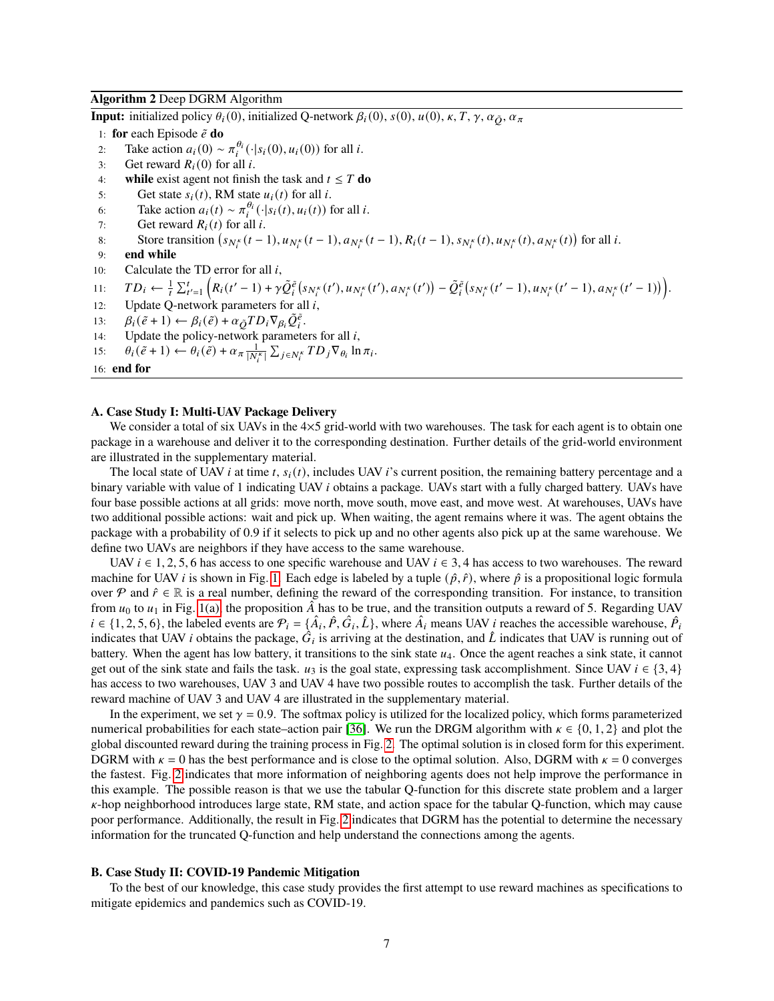#### <span id="page-6-0"></span>**Algorithm 2** Deep DGRM Algorithm

**Input:** initialized policy  $\theta_i(0)$ , initialized Q-network  $\beta_i(0)$ ,  $s(0)$ ,  $u(0)$ ,  $\kappa$ ,  $T$ ,  $\gamma$ ,  $\alpha_{\tilde{O}}$ ,  $\alpha_{\pi}$ 

- 1: **for** each Episode  $\tilde{e}$  **do**
- 2: Take action  $a_i(0) \sim \pi_i^{\theta_i}(\cdot|s_i(0), u_i(0))$  for all *i*.
- 3: Get reward  $R_i(0)$  for all i.
- 4: **while** exist agent not finish the task and  $t \leq T$  do
- 5: Get state  $s_i(t)$ , RM state  $u_i(t)$  for all *i*.
- 6: Take action  $a_i(t) \sim \pi_i^{\theta_i}(\cdot|s_i(t), u_i(t))$  for all *i*.
- 7: Get reward  $R_i(t)$  for all i.
- 8: Store transition  $(s_{N_t^k}(t-1), u_{N_t^k}(t-1), a_{N_t^k}(t-1), R_i(t-1), s_{N_t^k}(t), u_{N_t^k}(t), a_{N_t^k}(t))$  for all *i*.
- 9: **end while**
- 10: Calculate the TD error for all  $i$ ,
- 11:  $TD_i \leftarrow \frac{1}{t} \sum_{t'=1}^t \left( R_i(t'-1) + \gamma \tilde{Q}_i^{\tilde{e}}(s_{N_i^{\kappa}}(t'), u_{N_i^{\kappa}}(t'), a_{N_i^{\kappa}}(t') \right) \tilde{Q}_i^{\tilde{e}}(s_{N_i^{\kappa}}(t'-1), u_{N_i^{\kappa}}(t'-1), a_{N_i^{\kappa}}(t'-1) \right)$
- 12: Update Q-network parameters for all  $i$ ,
- 13:  $\beta_i(\tilde{e}+1) \leftarrow \beta_i(\tilde{e}) + \alpha_{\tilde{Q}} T D_i \nabla_{\beta_i} \tilde{Q}_i^{\tilde{e}}.$
- 14: Update the policy-network parameters for all  $i$ ,
- 15:  $\theta_i(\tilde{e}+1) \leftarrow \theta_i(\tilde{e}) + \alpha_{\pi} \frac{1}{|N_i^{\kappa}|} \sum_{j \in N_i^{\kappa}} TD_j \nabla_{\theta_i} \ln \pi_i.$

16: **end for**

#### **A. Case Study I: Multi-UAV Package Delivery**

We consider a total of six UAVs in the  $4\times5$  grid-world with two warehouses. The task for each agent is to obtain one package in a warehouse and deliver it to the corresponding destination. Further details of the grid-world environment are illustrated in the supplementary material.

The local state of UAV *i* at time  $t$ ,  $s_i(t)$ , includes UAV *i*'s current position, the remaining battery percentage and a binary variable with value of 1 indicating UAV *i* obtains a package. UAVs start with a fully charged battery. UAVs have four base possible actions at all grids: move north, move south, move east, and move west. At warehouses, UAVs have two additional possible actions: wait and pick up. When waiting, the agent remains where it was. The agent obtains the package with a probability of 0.9 if it selects to pick up and no other agents also pick up at the same warehouse. We define two UAVs are neighbors if they have access to the same warehouse.

UAV  $i \in 1, 2, 5, 6$  has access to one specific warehouse and UAV  $i \in 3, 4$  has access to two warehouses. The reward machine for UAV *i* is shown in Fig. [1.](#page-7-0) Each edge is labeled by a tuple  $(\hat{p}, \hat{r})$ , where  $\hat{p}$  is a propositional logic formula over P and  $\hat{r} \in \mathbb{R}$  is a real number, defining the reward of the corresponding transition. For instance, to transition from  $u_0$  to  $u_1$  in Fig. [1\(a\),](#page-7-1) the proposition  $\hat{A}$  has to be true, and the transition outputs a reward of 5. Regarding UAV  $i \in \{1, 2, 5, 6\}$ , the labeled events are  $\mathcal{P}_i = \{\hat{A}_i, \hat{P}, \hat{G}_i, \hat{L}\}$ , where  $\hat{A}_i$  means UAV *i* reaches the accessible warehouse,  $\hat{P}_i$ indicates that UAV *i* obtains the package,  $\hat{G}_i$  is arriving at the destination, and  $\hat{L}$  indicates that UAV is running out of battery. When the agent has low battery, it transitions to the sink state  $u_4$ . Once the agent reaches a sink state, it cannot get out of the sink state and fails the task.  $u_3$  is the goal state, expressing task accomplishment. Since UAV  $i \in \{3, 4\}$ has access to two warehouses, UAV 3 and UAV 4 have two possible routes to accomplish the task. Further details of the reward machine of UAV 3 and UAV 4 are illustrated in the supplementary material.

In the experiment, we set  $\gamma = 0.9$ . The softmax policy is utilized for the localized policy, which forms parameterized numerical probabilities for each state–action pair [\[36\]](#page-11-7). We run the DRGM algorithm with  $\kappa \in \{0, 1, 2\}$  and plot the global discounted reward during the training process in Fig. [2.](#page-7-2) The optimal solution is in closed form for this experiment. DGRM with  $\kappa = 0$  has the best performance and is close to the optimal solution. Also, DGRM with  $\kappa = 0$  converges the fastest. Fig. [2](#page-7-2) indicates that more information of neighboring agents does not help improve the performance in this example. The possible reason is that we use the tabular Q-function for this discrete state problem and a larger  $\kappa$ -hop neighborhood introduces large state, RM state, and action space for the tabular Q-function, which may cause poor performance. Additionally, the result in Fig. [2](#page-7-2) indicates that DGRM has the potential to determine the necessary information for the truncated Q-function and help understand the connections among the agents.

#### **B. Case Study II: COVID-19 Pandemic Mitigation**

To the best of our knowledge, this case study provides the first attempt to use reward machines as specifications to mitigate epidemics and pandemics such as COVID-19.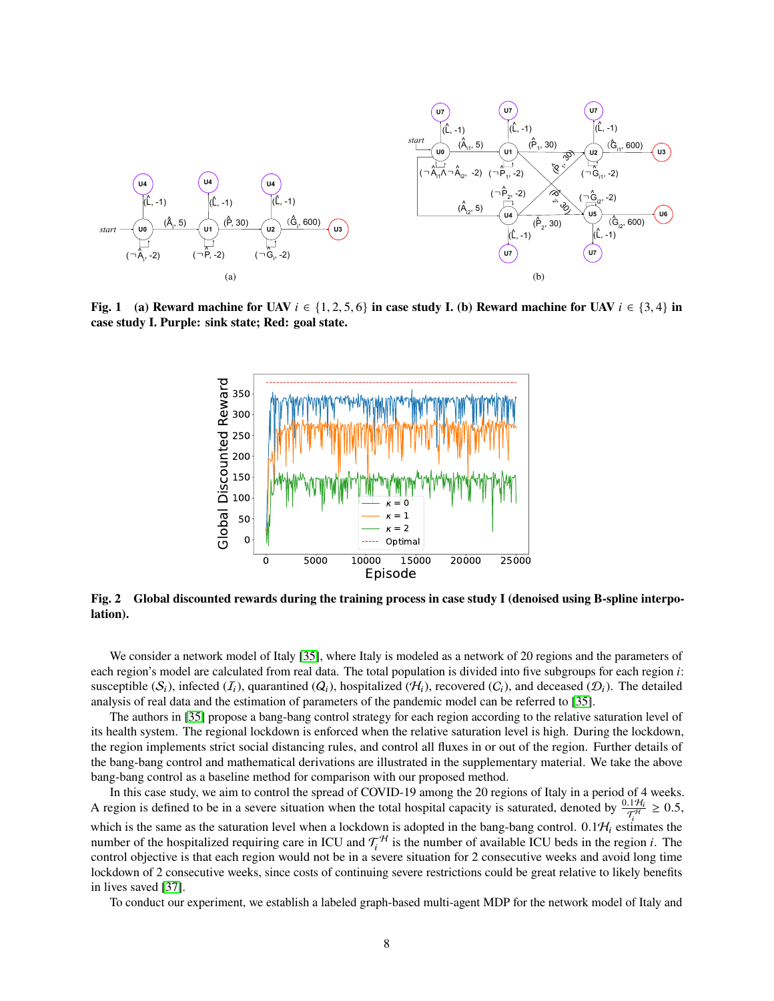<span id="page-7-1"></span><span id="page-7-0"></span>

<span id="page-7-2"></span>**Fig. 1** (a) Reward machine for UAV  $i \in \{1, 2, 5, 6\}$  in case study I. (b) Reward machine for UAV  $i \in \{3, 4\}$  in **case study I. Purple: sink state; Red: goal state.**



**Fig. 2 Global discounted rewards during the training process in case study I (denoised using B-spline interpolation).**

We consider a network model of Italy [\[35\]](#page-11-6), where Italy is modeled as a network of 20 regions and the parameters of each region's model are calculated from real data. The total population is divided into five subgroups for each region i: susceptible  $(S_i)$ , infected  $(I_i)$ , quarantined  $(Q_i)$ , hospitalized  $(H_i)$ , recovered  $(C_i)$ , and deceased  $(D_i)$ . The detailed analysis of real data and the estimation of parameters of the pandemic model can be referred to [\[35\]](#page-11-6).

The authors in [\[35\]](#page-11-6) propose a bang-bang control strategy for each region according to the relative saturation level of its health system. The regional lockdown is enforced when the relative saturation level is high. During the lockdown, the region implements strict social distancing rules, and control all fluxes in or out of the region. Further details of the bang-bang control and mathematical derivations are illustrated in the supplementary material. We take the above bang-bang control as a baseline method for comparison with our proposed method.

In this case study, we aim to control the spread of COVID-19 among the 20 regions of Italy in a period of 4 weeks. A region is defined to be in a severe situation when the total hospital capacity is saturated, denoted by  $\frac{0.1\mathcal{H}_l}{\mathcal{T}_l^H} \ge 0.5$ , which is the same as the saturation level when a lockdown is adopted in the bang-bang control. 0.1 $H_i$  estimates the number of the hospitalized requiring care in ICU and  $\tau_i^{\mathcal{H}}$  is the number of available ICU beds in the region *i*. The control objective is that each region would not be in a severe situation for 2 consecutive weeks and avoid long time lockdown of 2 consecutive weeks, since costs of continuing severe restrictions could be great relative to likely benefits in lives saved [\[37\]](#page-11-8).

To conduct our experiment, we establish a labeled graph-based multi-agent MDP for the network model of Italy and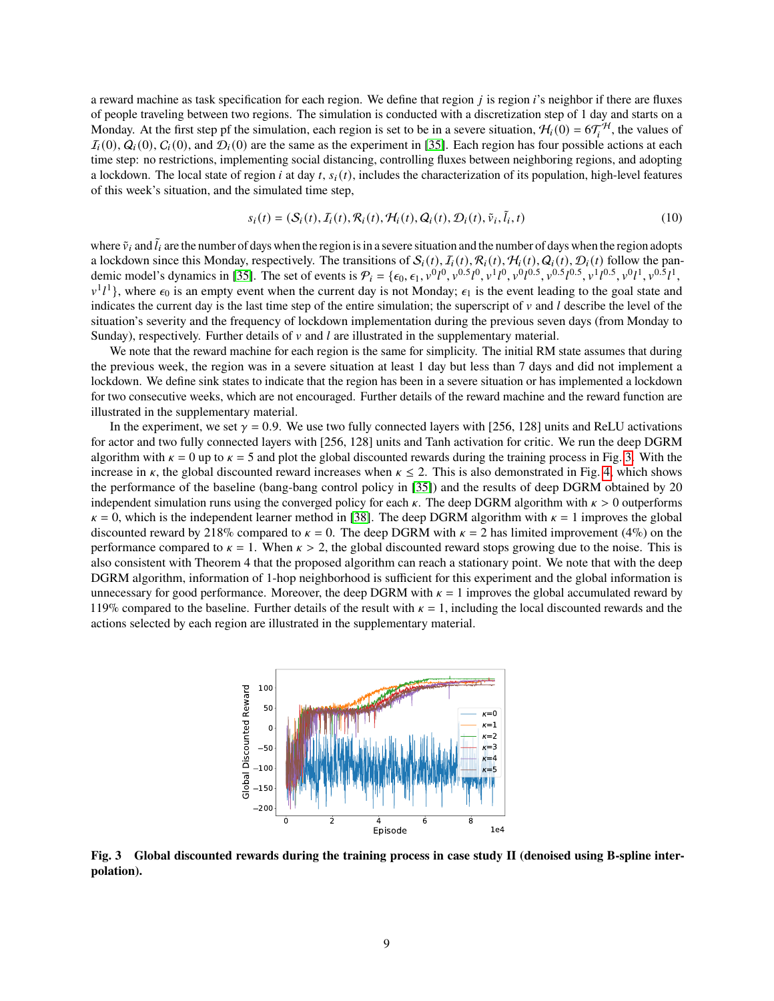a reward machine as task specification for each region. We define that region  $i$  is region  $i$ 's neighbor if there are fluxes of people traveling between two regions. The simulation is conducted with a discretization step of 1 day and starts on a Monday. At the first step pf the simulation, each region is set to be in a severe situation,  $H_i(0) = 6\mathcal{T}_i^H$ , the values of  $I_i(0), Q_i(0), C_i(0)$ , and  $D_i(0)$  are the same as the experiment in [\[35\]](#page-11-6). Each region has four possible actions at each time step: no restrictions, implementing social distancing, controlling fluxes between neighboring regions, and adopting a lockdown. The local state of region *i* at day  $t$ ,  $s_i(t)$ , includes the characterization of its population, high-level features of this week's situation, and the simulated time step,

$$
s_i(t) = (\mathcal{S}_i(t), \mathcal{I}_i(t), \mathcal{R}_i(t), \mathcal{H}_i(t), \mathcal{Q}_i(t), \mathcal{D}_i(t), \tilde{v}_i, \tilde{l}_i, t)
$$
\n(10)

where  $\tilde{v}_i$  and  $\tilde{l}_i$  are the number of days when the region is in a severe situation and the number of days when the region adopts a lockdown since this Monday, respectively. The transitions of  $S_i(t)$ ,  $I_i(t)$ ,  $R_i(t)$ ,  $R_i(t)$ ,  $Q_i(t)$ ,  $D_i(t)$  follow the pan-demic model's dynamics in [\[35\]](#page-11-6). The set of events is  $P_i = \{\epsilon_0, \epsilon_1, v_0^{0}I^0, v_0^{0.5}I^0, v_1^{1}I^0, v_0^{0.6}I^0, v_0^{0.5}I^0, v_1^{1}I^0, v_0^{0.5}I^0, v_0^{1}I^0, v_0^{0.5}I^1, v_0^{0.5}I^1, v_0^{0.5}I^1, v_0^{0.5}I^1, v_0^{0.5}I^1, v_0^{0$  $v^1 l^1$ , where  $\epsilon_0$  is an empty event when the current day is not Monday;  $\epsilon_1$  is the event leading to the goal state and indicates the current day is the last time step of the entire simulation; the superscript of  $\nu$  and  $l$  describe the level of the situation's severity and the frequency of lockdown implementation during the previous seven days (from Monday to Sunday), respectively. Further details of  $\nu$  and  $\ell$  are illustrated in the supplementary material.

We note that the reward machine for each region is the same for simplicity. The initial RM state assumes that during the previous week, the region was in a severe situation at least 1 day but less than 7 days and did not implement a lockdown. We define sink states to indicate that the region has been in a severe situation or has implemented a lockdown for two consecutive weeks, which are not encouraged. Further details of the reward machine and the reward function are illustrated in the supplementary material.

In the experiment, we set  $\gamma = 0.9$ . We use two fully connected layers with [256, 128] units and ReLU activations for actor and two fully connected layers with [256, 128] units and Tanh activation for critic. We run the deep DGRM algorithm with  $\kappa = 0$  up to  $\kappa = 5$  and plot the global discounted rewards during the training process in Fig. [3.](#page-8-0) With the increase in  $\kappa$ , the global discounted reward increases when  $\kappa \leq 2$ . This is also demonstrated in Fig. [4,](#page-9-6) which shows the performance of the baseline (bang-bang control policy in [\[35\]](#page-11-6)) and the results of deep DGRM obtained by 20 independent simulation runs using the converged policy for each  $\kappa$ . The deep DGRM algorithm with  $\kappa > 0$  outperforms  $\kappa = 0$ , which is the independent learner method in [\[38\]](#page-11-9). The deep DGRM algorithm with  $\kappa = 1$  improves the global discounted reward by 218% compared to  $\kappa = 0$ . The deep DGRM with  $\kappa = 2$  has limited improvement (4%) on the performance compared to  $\kappa = 1$ . When  $\kappa > 2$ , the global discounted reward stops growing due to the noise. This is also consistent with Theorem 4 that the proposed algorithm can reach a stationary point. We note that with the deep DGRM algorithm, information of 1-hop neighborhood is sufficient for this experiment and the global information is unnecessary for good performance. Moreover, the deep DGRM with  $\kappa = 1$  improves the global accumulated reward by 119% compared to the baseline. Further details of the result with  $\kappa = 1$ , including the local discounted rewards and the actions selected by each region are illustrated in the supplementary material.

<span id="page-8-0"></span>

**Fig. 3 Global discounted rewards during the training process in case study II (denoised using B-spline interpolation).**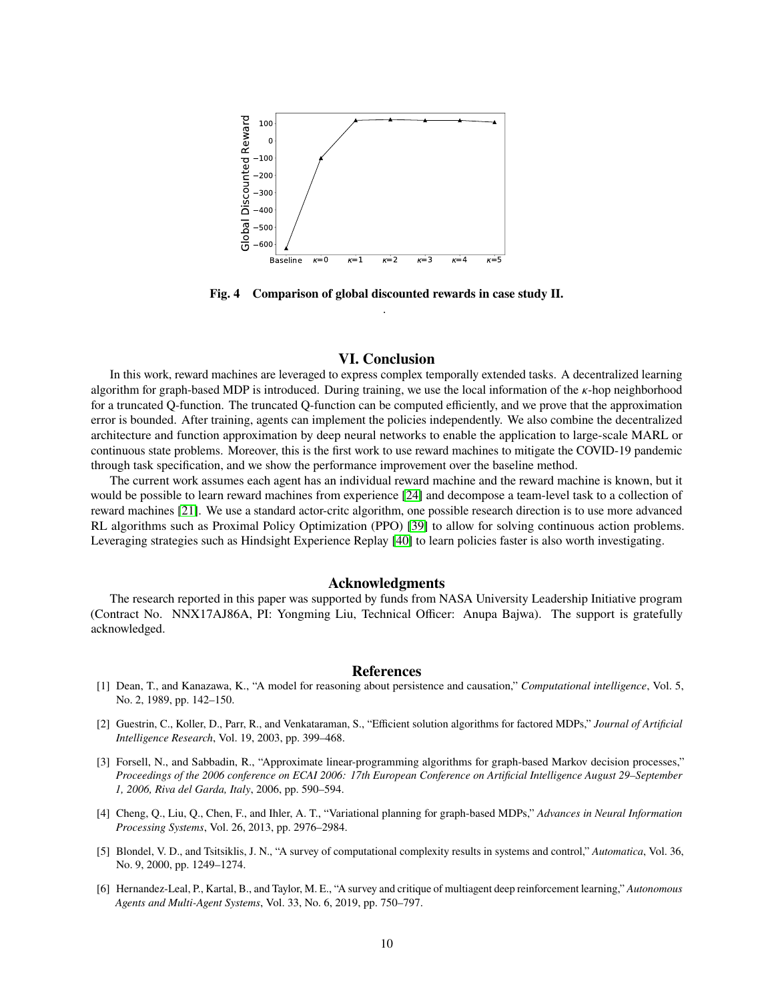<span id="page-9-6"></span>

**Fig. 4 Comparison of global discounted rewards in case study II.** .

#### **VI. Conclusion**

In this work, reward machines are leveraged to express complex temporally extended tasks. A decentralized learning algorithm for graph-based MDP is introduced. During training, we use the local information of the  $\kappa$ -hop neighborhood for a truncated Q-function. The truncated Q-function can be computed efficiently, and we prove that the approximation error is bounded. After training, agents can implement the policies independently. We also combine the decentralized architecture and function approximation by deep neural networks to enable the application to large-scale MARL or continuous state problems. Moreover, this is the first work to use reward machines to mitigate the COVID-19 pandemic through task specification, and we show the performance improvement over the baseline method.

The current work assumes each agent has an individual reward machine and the reward machine is known, but it would be possible to learn reward machines from experience [\[24\]](#page-10-15) and decompose a team-level task to a collection of reward machines [\[21\]](#page-10-12). We use a standard actor-critc algorithm, one possible research direction is to use more advanced RL algorithms such as Proximal Policy Optimization (PPO) [\[39\]](#page-11-10) to allow for solving continuous action problems. Leveraging strategies such as Hindsight Experience Replay [\[40\]](#page-11-11) to learn policies faster is also worth investigating.

#### **Acknowledgments**

The research reported in this paper was supported by funds from NASA University Leadership Initiative program (Contract No. NNX17AJ86A, PI: Yongming Liu, Technical Officer: Anupa Bajwa). The support is gratefully acknowledged.

#### **References**

- <span id="page-9-0"></span>[1] Dean, T., and Kanazawa, K., "A model for reasoning about persistence and causation," *Computational intelligence*, Vol. 5, No. 2, 1989, pp. 142–150.
- <span id="page-9-1"></span>[2] Guestrin, C., Koller, D., Parr, R., and Venkataraman, S., "Efficient solution algorithms for factored MDPs," *Journal of Artificial Intelligence Research*, Vol. 19, 2003, pp. 399–468.
- <span id="page-9-2"></span>[3] Forsell, N., and Sabbadin, R., "Approximate linear-programming algorithms for graph-based Markov decision processes," *Proceedings of the 2006 conference on ECAI 2006: 17th European Conference on Artificial Intelligence August 29–September 1, 2006, Riva del Garda, Italy*, 2006, pp. 590–594.
- <span id="page-9-3"></span>[4] Cheng, Q., Liu, Q., Chen, F., and Ihler, A. T., "Variational planning for graph-based MDPs," *Advances in Neural Information Processing Systems*, Vol. 26, 2013, pp. 2976–2984.
- <span id="page-9-4"></span>[5] Blondel, V. D., and Tsitsiklis, J. N., "A survey of computational complexity results in systems and control," *Automatica*, Vol. 36, No. 9, 2000, pp. 1249–1274.
- <span id="page-9-5"></span>[6] Hernandez-Leal, P., Kartal, B., and Taylor, M. E., "A survey and critique of multiagent deep reinforcement learning," *Autonomous Agents and Multi-Agent Systems*, Vol. 33, No. 6, 2019, pp. 750–797.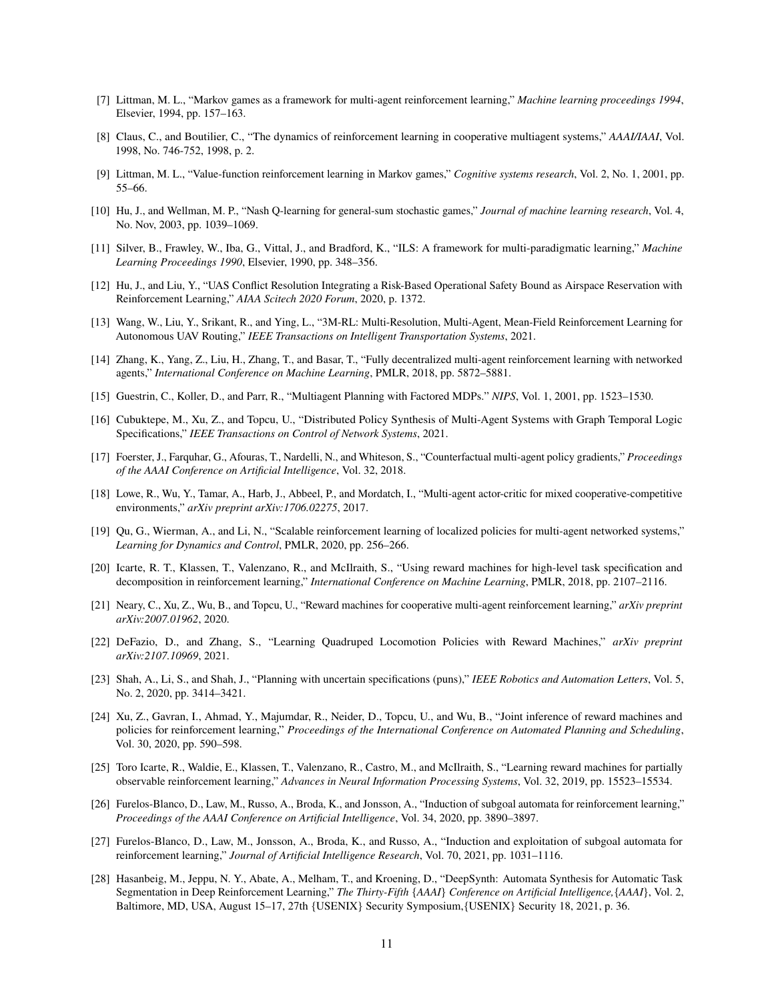- <span id="page-10-0"></span>[7] Littman, M. L., "Markov games as a framework for multi-agent reinforcement learning," *Machine learning proceedings 1994*, Elsevier, 1994, pp. 157–163.
- [8] Claus, C., and Boutilier, C., "The dynamics of reinforcement learning in cooperative multiagent systems," *AAAI/IAAI*, Vol. 1998, No. 746-752, 1998, p. 2.
- [9] Littman, M. L., "Value-function reinforcement learning in Markov games," *Cognitive systems research*, Vol. 2, No. 1, 2001, pp. 55–66.
- <span id="page-10-1"></span>[10] Hu, J., and Wellman, M. P., "Nash Q-learning for general-sum stochastic games," *Journal of machine learning research*, Vol. 4, No. Nov, 2003, pp. 1039–1069.
- <span id="page-10-2"></span>[11] Silver, B., Frawley, W., Iba, G., Vittal, J., and Bradford, K., "ILS: A framework for multi-paradigmatic learning," *Machine Learning Proceedings 1990*, Elsevier, 1990, pp. 348–356.
- <span id="page-10-3"></span>[12] Hu, J., and Liu, Y., "UAS Conflict Resolution Integrating a Risk-Based Operational Safety Bound as Airspace Reservation with Reinforcement Learning," *AIAA Scitech 2020 Forum*, 2020, p. 1372.
- <span id="page-10-4"></span>[13] Wang, W., Liu, Y., Srikant, R., and Ying, L., "3M-RL: Multi-Resolution, Multi-Agent, Mean-Field Reinforcement Learning for Autonomous UAV Routing," *IEEE Transactions on Intelligent Transportation Systems*, 2021.
- <span id="page-10-5"></span>[14] Zhang, K., Yang, Z., Liu, H., Zhang, T., and Basar, T., "Fully decentralized multi-agent reinforcement learning with networked agents," *International Conference on Machine Learning*, PMLR, 2018, pp. 5872–5881.
- <span id="page-10-6"></span>[15] Guestrin, C., Koller, D., and Parr, R., "Multiagent Planning with Factored MDPs." *NIPS*, Vol. 1, 2001, pp. 1523–1530.
- <span id="page-10-7"></span>[16] Cubuktepe, M., Xu, Z., and Topcu, U., "Distributed Policy Synthesis of Multi-Agent Systems with Graph Temporal Logic Specifications," *IEEE Transactions on Control of Network Systems*, 2021.
- <span id="page-10-8"></span>[17] Foerster, J., Farquhar, G., Afouras, T., Nardelli, N., and Whiteson, S., "Counterfactual multi-agent policy gradients," *Proceedings of the AAAI Conference on Artificial Intelligence*, Vol. 32, 2018.
- <span id="page-10-9"></span>[18] Lowe, R., Wu, Y., Tamar, A., Harb, J., Abbeel, P., and Mordatch, I., "Multi-agent actor-critic for mixed cooperative-competitive environments," *arXiv preprint arXiv:1706.02275*, 2017.
- <span id="page-10-10"></span>[19] Qu, G., Wierman, A., and Li, N., "Scalable reinforcement learning of localized policies for multi-agent networked systems," *Learning for Dynamics and Control*, PMLR, 2020, pp. 256–266.
- <span id="page-10-11"></span>[20] Icarte, R. T., Klassen, T., Valenzano, R., and McIlraith, S., "Using reward machines for high-level task specification and decomposition in reinforcement learning," *International Conference on Machine Learning*, PMLR, 2018, pp. 2107–2116.
- <span id="page-10-12"></span>[21] Neary, C., Xu, Z., Wu, B., and Topcu, U., "Reward machines for cooperative multi-agent reinforcement learning," *arXiv preprint arXiv:2007.01962*, 2020.
- <span id="page-10-13"></span>[22] DeFazio, D., and Zhang, S., "Learning Quadruped Locomotion Policies with Reward Machines," *arXiv preprint arXiv:2107.10969*, 2021.
- <span id="page-10-14"></span>[23] Shah, A., Li, S., and Shah, J., "Planning with uncertain specifications (puns)," *IEEE Robotics and Automation Letters*, Vol. 5, No. 2, 2020, pp. 3414–3421.
- <span id="page-10-15"></span>[24] Xu, Z., Gavran, I., Ahmad, Y., Majumdar, R., Neider, D., Topcu, U., and Wu, B., "Joint inference of reward machines and policies for reinforcement learning," *Proceedings of the International Conference on Automated Planning and Scheduling*, Vol. 30, 2020, pp. 590–598.
- [25] Toro Icarte, R., Waldie, E., Klassen, T., Valenzano, R., Castro, M., and McIlraith, S., "Learning reward machines for partially observable reinforcement learning," *Advances in Neural Information Processing Systems*, Vol. 32, 2019, pp. 15523–15534.
- [26] Furelos-Blanco, D., Law, M., Russo, A., Broda, K., and Jonsson, A., "Induction of subgoal automata for reinforcement learning," *Proceedings of the AAAI Conference on Artificial Intelligence*, Vol. 34, 2020, pp. 3890–3897.
- [27] Furelos-Blanco, D., Law, M., Jonsson, A., Broda, K., and Russo, A., "Induction and exploitation of subgoal automata for reinforcement learning," *Journal of Artificial Intelligence Research*, Vol. 70, 2021, pp. 1031–1116.
- [28] Hasanbeig, M., Jeppu, N. Y., Abate, A., Melham, T., and Kroening, D., "DeepSynth: Automata Synthesis for Automatic Task Segmentation in Deep Reinforcement Learning," *The Thirty-Fifth* {*AAAI*} *Conference on Artificial Intelligence,*{*AAAI*}, Vol. 2, Baltimore, MD, USA, August 15–17, 27th {USENIX} Security Symposium,{USENIX} Security 18, 2021, p. 36.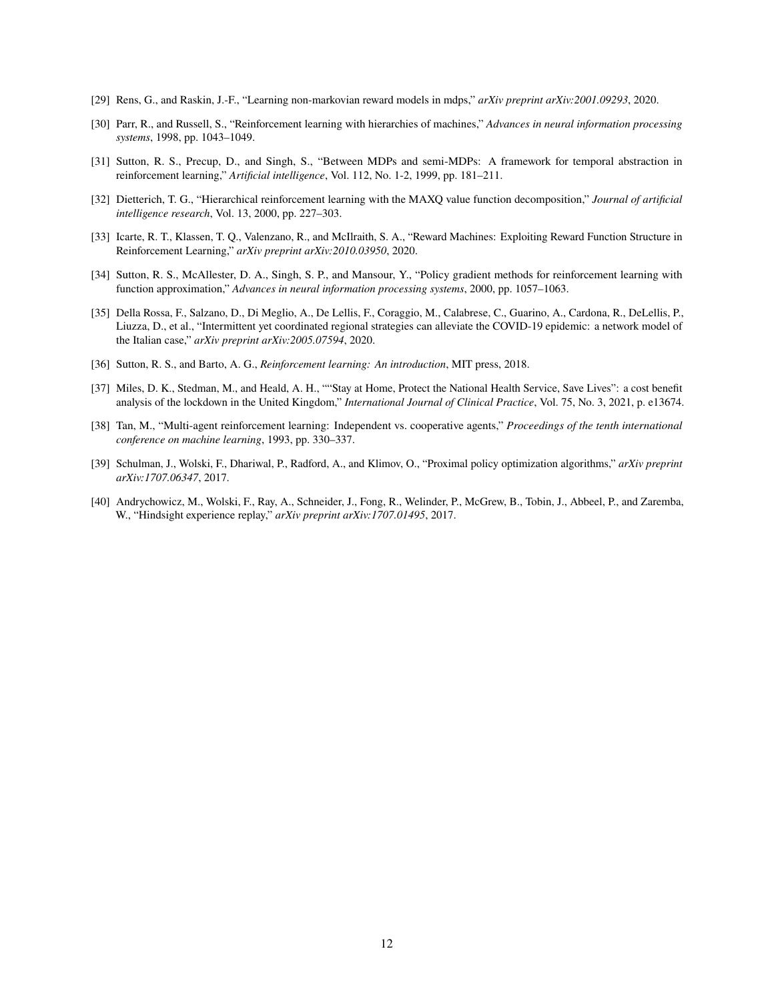- <span id="page-11-0"></span>[29] Rens, G., and Raskin, J.-F., "Learning non-markovian reward models in mdps," *arXiv preprint arXiv:2001.09293*, 2020.
- <span id="page-11-1"></span>[30] Parr, R., and Russell, S., "Reinforcement learning with hierarchies of machines," *Advances in neural information processing systems*, 1998, pp. 1043–1049.
- <span id="page-11-2"></span>[31] Sutton, R. S., Precup, D., and Singh, S., "Between MDPs and semi-MDPs: A framework for temporal abstraction in reinforcement learning," *Artificial intelligence*, Vol. 112, No. 1-2, 1999, pp. 181–211.
- <span id="page-11-3"></span>[32] Dietterich, T. G., "Hierarchical reinforcement learning with the MAXQ value function decomposition," *Journal of artificial intelligence research*, Vol. 13, 2000, pp. 227–303.
- <span id="page-11-4"></span>[33] Icarte, R. T., Klassen, T. Q., Valenzano, R., and McIlraith, S. A., "Reward Machines: Exploiting Reward Function Structure in Reinforcement Learning," *arXiv preprint arXiv:2010.03950*, 2020.
- <span id="page-11-5"></span>[34] Sutton, R. S., McAllester, D. A., Singh, S. P., and Mansour, Y., "Policy gradient methods for reinforcement learning with function approximation," *Advances in neural information processing systems*, 2000, pp. 1057–1063.
- <span id="page-11-6"></span>[35] Della Rossa, F., Salzano, D., Di Meglio, A., De Lellis, F., Coraggio, M., Calabrese, C., Guarino, A., Cardona, R., DeLellis, P., Liuzza, D., et al., "Intermittent yet coordinated regional strategies can alleviate the COVID-19 epidemic: a network model of the Italian case," *arXiv preprint arXiv:2005.07594*, 2020.
- <span id="page-11-7"></span>[36] Sutton, R. S., and Barto, A. G., *Reinforcement learning: An introduction*, MIT press, 2018.
- <span id="page-11-8"></span>[37] Miles, D. K., Stedman, M., and Heald, A. H., ""Stay at Home, Protect the National Health Service, Save Lives": a cost benefit analysis of the lockdown in the United Kingdom," *International Journal of Clinical Practice*, Vol. 75, No. 3, 2021, p. e13674.
- <span id="page-11-9"></span>[38] Tan, M., "Multi-agent reinforcement learning: Independent vs. cooperative agents," *Proceedings of the tenth international conference on machine learning*, 1993, pp. 330–337.
- <span id="page-11-10"></span>[39] Schulman, J., Wolski, F., Dhariwal, P., Radford, A., and Klimov, O., "Proximal policy optimization algorithms," *arXiv preprint arXiv:1707.06347*, 2017.
- <span id="page-11-11"></span>[40] Andrychowicz, M., Wolski, F., Ray, A., Schneider, J., Fong, R., Welinder, P., McGrew, B., Tobin, J., Abbeel, P., and Zaremba, W., "Hindsight experience replay," *arXiv preprint arXiv:1707.01495*, 2017.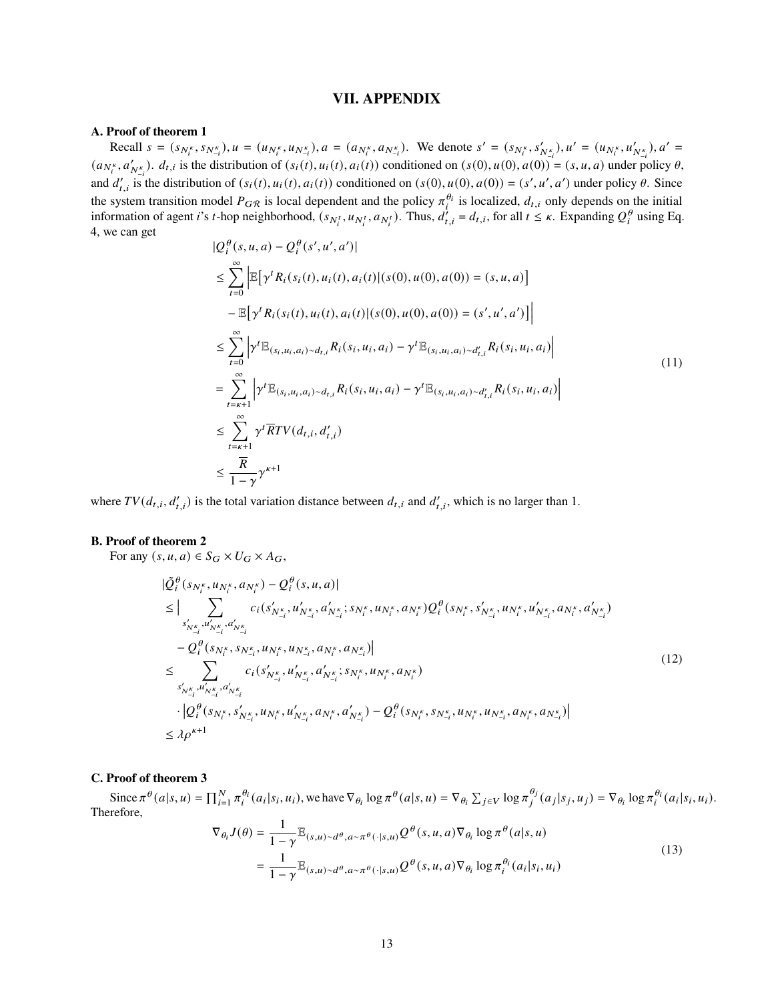# **VII. APPENDIX**

# **A. Proof of theorem 1**

Recall  $s = (s_{N_i^k}, s_{N_{-i}^k}), u = (u_{N_i^k}, u_{N_{-i}^k}), a = (a_{N_i^k}, a_{N_{-i}^k}).$  We denote  $s' = (s_{N_i^k}, s'_{N_{-i}^k}), u' = (u_{N_i^k}, u'_{N_{-i}^k}), a' = (u'_{N_i^k}, u'_{N_{-i}^k})$  $(a_{N_t^k}, a'_{N_t})$ .  $d_{t,i}$  is the distribution of  $(s_i(t), u_i(t), a_i(t))$  conditioned on  $(s(0), u(0), a(0))$  =  $(s, u, a)$  under policy  $\theta$ , and  $d'_{t,i}$  is the distribution of  $(s_i(t), u_i(t), a_i(t))$  conditioned on  $(s(0), u(0), a(0)) = (s', u', a')$  under policy  $\theta$ . Since the system transition model  $P_{GR}$  is local dependent and the policy  $\pi_i^{\theta_i}$  is localized,  $d_{t,i}$  only depends on the initial information of agent *i*'s *t*-hop neighborhood,  $(s_{N_i^t}, u_{N_i^t}, a_{N_i^t})$ . Thus,  $d'_{t,i} = d_{t,i}$ , for all  $t \leq \kappa$ . Expanding  $Q_i^{\theta}$  using Eq. 4, we can get

$$
|Q_i^{\theta}(s, u, a) - Q_i^{\theta}(s', u', a')|
$$
  
\n
$$
\leq \sum_{t=0}^{\infty} \left| \mathbb{E} \left[ \gamma^t R_i(s_i(t), u_i(t), a_i(t) | (s(0), u(0), a(0)) = (s, u, a) \right] \right|
$$
  
\n
$$
- \mathbb{E} \left[ \gamma^t R_i(s_i(t), u_i(t), a_i(t) | (s(0), u(0), a(0)) = (s', u', a') \right]
$$
  
\n
$$
\leq \sum_{t=0}^{\infty} \left| \gamma^t \mathbb{E}_{(s_i, u_i, a_i) \sim d_{t,i}} R_i(s_i, u_i, a_i) - \gamma^t \mathbb{E}_{(s_i, u_i, a_i) \sim d'_{t,i}} R_i(s_i, u_i, a_i) \right|
$$
  
\n
$$
= \sum_{t=\kappa+1}^{\infty} \left| \gamma^t \mathbb{E}_{(s_i, u_i, a_i) \sim d_{t,i}} R_i(s_i, u_i, a_i) - \gamma^t \mathbb{E}_{(s_i, u_i, a_i) \sim d'_{t,i}} R_i(s_i, u_i, a_i) \right|
$$
  
\n
$$
\leq \sum_{t=\kappa+1}^{\infty} \gamma^t \overline{R} T V(d_{t,i}, d'_{t,i})
$$
  
\n
$$
\leq \frac{\overline{R}}{1 - \gamma} \gamma^{\kappa+1}
$$
 (11)

where  $TV(d_{t,i}, d'_{t,i})$  is the total variation distance between  $d_{t,i}$  and  $d'_{t,i}$ , which is no larger than 1.

#### **B. Proof of theorem 2**

For any  $(s, u, a) \in S_G \times U_G \times A_G$ ,

$$
|\tilde{Q}_{i}^{\theta}(s_{N_{i}^{k}}, u_{N_{i}^{k}}, a_{N_{i}^{k}}) - Q_{i}^{\theta}(s, u, a)|
$$
\n
$$
\leq |\sum_{s'_{N_{-i}^{k}}, u'_{N_{-i}^{k}}, a'_{N_{-i}^{k}}}(s'_{N_{-i}^{k}}, u'_{N_{-i}^{k}}, a'_{N_{-i}^{k}}; s_{N_{i}^{k}}, u_{N_{i}^{k}}, a_{N_{i}^{k}})Q_{i}^{\theta}(s_{N_{i}^{k}}, s'_{N_{-i}^{k}}, u_{N_{i}^{k}}, a'_{N_{-i}^{k}})
$$
\n
$$
-Q_{i}^{\theta}(s_{N_{i}^{k}}, s_{N_{-i}^{k}}, u_{N_{i}^{k}}, u_{N_{-i}^{k}}, a_{N_{i}^{k}}, a_{N_{-i}^{k}})]
$$
\n
$$
\leq \sum_{s'_{N_{-i}^{k}}, u'_{N_{-i}^{k}}, a'_{N_{-i}^{k}}}(s'_{N_{-i}^{k}}, u'_{N_{-i}^{k}}, a'_{N_{-i}^{k}}; s_{N_{i}^{k}}, u_{N_{i}^{k}}, a_{N_{i}^{k}})
$$
\n
$$
\cdot |\mathcal{Q}_{i}^{\theta}(s_{N_{i}^{k}}, s'_{N_{-i}^{k}}, u_{N_{i}^{k}}, u'_{N_{-i}^{k}}, a_{N_{i}^{k}}, a'_{N_{-i}^{k}}) - \mathcal{Q}_{i}^{\theta}(s_{N_{i}^{k}}, s_{N_{-i}^{k}}, u_{N_{i}^{k}}, a_{N_{i}^{k}}, a_{N_{-i}^{k}})
$$
\n
$$
\leq \lambda \rho^{\kappa+1}
$$
\n(12)

# **C. Proof of theorem 3**

Since  $\pi^{\theta}(a|s, u) = \prod_{i=1}^{N} \pi_i^{\theta_i}(a_i|s_i, u_i)$ , we have  $\nabla_{\theta_i} \log \pi^{\theta}(a|s, u) = \nabla_{\theta_i} \sum_{j \in V} \log \pi_j^{\theta_j}$  $_{i}^{\theta_{j}}(a_{j}|s_{j},u_{j}) = \nabla_{\theta_{i}} \log \pi_{i}^{\theta_{i}}(a_{i}|s_{i},u_{i}).$ Therefore,

$$
\nabla_{\theta_i} J(\theta) = \frac{1}{1 - \gamma} \mathbb{E}_{(s,u) \sim d^{\theta}, a \sim \pi^{\theta}(\cdot | s, u)} Q^{\theta}(s, u, a) \nabla_{\theta_i} \log \pi^{\theta}(a | s, u)
$$
\n
$$
= \frac{1}{1 - \gamma} \mathbb{E}_{(s,u) \sim d^{\theta}, a \sim \pi^{\theta}(\cdot | s, u)} Q^{\theta}(s, u, a) \nabla_{\theta_i} \log \pi_i^{\theta_i}(a_i | s_i, u_i)
$$
\n(13)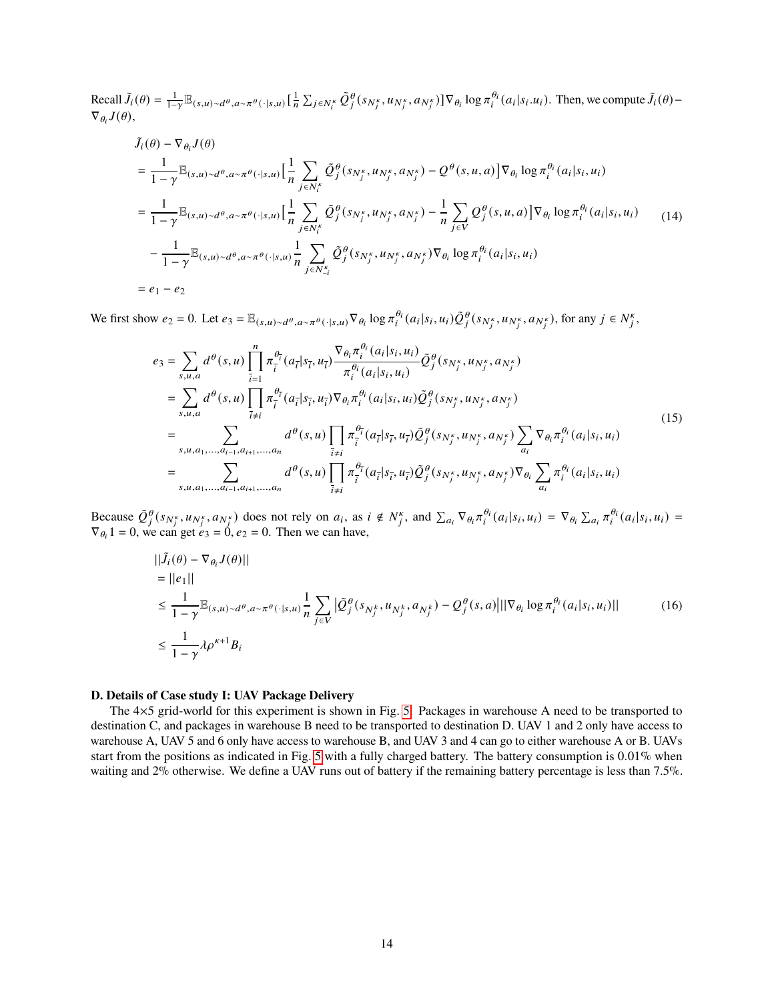Recall  $\tilde{J}_i(\theta) = \frac{1}{1-\gamma} \mathbb{E}_{(s,u) \sim d^{\theta}, a \sim \pi^{\theta}(\cdot | s, u)} \left[ \frac{1}{n} \sum_{j \in N_i^k} \tilde{Q}_j^{\theta}(s_{N_j^k}, u_{N_j^k}, a_{N_j^k}) \right] \nabla_{\theta_i} \log \pi_i^{\theta_i}(a_i | s_i.u_i)$ . Then, we compute  $\tilde{J}_i(\theta)$  - $\nabla_{\theta_i} J(\theta),$ 

$$
\tilde{J}_{i}(\theta) - \nabla_{\theta_{i}} J(\theta)
$$
\n
$$
= \frac{1}{1 - \gamma} \mathbb{E}_{(s, u) \sim d^{\theta}, a \sim \pi^{\theta}(\cdot | s, u)} \Big[ \frac{1}{n} \sum_{j \in N_{i}^{\kappa}} \tilde{Q}_{j}^{\theta}(s_{N_{j}^{\kappa}}, u_{N_{j}^{\kappa}}, a_{N_{j}^{\kappa}}) - Q^{\theta}(s, u, a) \Big] \nabla_{\theta_{i}} \log \pi_{i}^{\theta_{i}}(a_{i} | s_{i}, u_{i})
$$
\n
$$
= \frac{1}{1 - \gamma} \mathbb{E}_{(s, u) \sim d^{\theta}, a \sim \pi^{\theta}(\cdot | s, u)} \Big[ \frac{1}{n} \sum_{j \in N_{i}^{\kappa}} \tilde{Q}_{j}^{\theta}(s_{N_{j}^{\kappa}}, u_{N_{j}^{\kappa}}, a_{N_{j}^{\kappa}}) - \frac{1}{n} \sum_{j \in V} Q_{j}^{\theta}(s, u, a) \Big] \nabla_{\theta_{i}} \log \pi_{i}^{\theta_{i}}(a_{i} | s_{i}, u_{i}) \qquad (14)
$$
\n
$$
- \frac{1}{1 - \gamma} \mathbb{E}_{(s, u) \sim d^{\theta}, a \sim \pi^{\theta}(\cdot | s, u)} \frac{1}{n} \sum_{j \in N_{-i}^{\kappa}} \tilde{Q}_{j}^{\theta}(s_{N_{j}^{\kappa}}, u_{N_{j}^{\kappa}}, a_{N_{j}^{\kappa}}) \nabla_{\theta_{i}} \log \pi_{i}^{\theta_{i}}(a_{i} | s_{i}, u_{i})
$$
\n
$$
= e_{1} - e_{2}
$$

We first show  $e_2 = 0$ . Let  $e_3 = \mathbb{E}_{(s,u)\sim d^{\theta}, a\sim \pi^{\theta}(\cdot|s,u)} \nabla_{\theta_i} \log \pi_i^{\theta_i}(a_i|s_i, u_i) \tilde{Q}_i^{\theta}(s_{N_i^{\kappa}}, u_{N_i^{\kappa}}, a_{N_i^{\kappa}})$ , for any  $j \in N_i^{\kappa}$ ,

$$
e_{3} = \sum_{s,u,a} d^{\theta}(s,u) \prod_{\tilde{i}=1}^{n} \pi_{\tilde{i}}^{\theta_{\tilde{i}}}(a_{\tilde{i}}|s_{\tilde{i}}, u_{\tilde{i}}) \frac{\nabla_{\theta_{\tilde{i}}} \pi_{i}^{\theta_{\tilde{i}}}(a_{i}|s_{i}, u_{i})}{\pi_{i}^{\theta_{\tilde{i}}}(a_{i}|s_{i}, u_{i})} \tilde{Q}_{j}^{\theta}(s_{N_{j}^{k}}, u_{N_{j}^{k}}, a_{N_{j}^{k}})
$$
\n
$$
= \sum_{s,u,a} d^{\theta}(s,u) \prod_{\tilde{i}\neq i} \pi_{\tilde{i}}^{\theta_{\tilde{i}}}(a_{\tilde{i}}|s_{\tilde{i}}, u_{\tilde{i}}) \nabla_{\theta_{\tilde{i}}} \pi_{i}^{\theta_{\tilde{i}}}(a_{i}|s_{i}, u_{i}) \tilde{Q}_{j}^{\theta}(s_{N_{j}^{k}}, u_{N_{j}^{k}}, a_{N_{j}^{k}})
$$
\n
$$
= \sum_{s,u,a_{1},...,a_{i-1},a_{i+1},...,a_{n}} d^{\theta}(s,u) \prod_{\tilde{i}\neq i} \pi_{\tilde{i}}^{\theta_{\tilde{i}}}(a_{\tilde{i}}|s_{\tilde{i}}, u_{\tilde{i}}) \tilde{Q}_{j}^{\theta}(s_{N_{j}^{k}}, u_{N_{j}^{k}}, a_{N_{j}^{k}}) \sum_{a_{i}} \nabla_{\theta_{i}} \pi_{i}^{\theta_{i}}(a_{i}|s_{i}, u_{i})
$$
\n
$$
= \sum_{s,u,a_{1},...,a_{i-1},a_{i+1},...,a_{n}} d^{\theta}(s,u) \prod_{\tilde{i}\neq i} \pi_{\tilde{i}}^{\theta_{\tilde{i}}}(a_{\tilde{i}}|s_{\tilde{i}}, u_{\tilde{i}}) \tilde{Q}_{j}^{\theta}(s_{N_{j}^{k}}, u_{N_{j}^{k}}, a_{N_{j}^{k}}) \nabla_{\theta_{i}} \sum_{a_{i}} \pi_{i}^{\theta_{i}}(a_{i}|s_{i}, u_{i})
$$
\n(15)

Because  $\tilde{Q}_j^{\theta}(s_{N_j^k}, u_{N_j^k}, a_{N_j^k})$  does not rely on  $a_i$ , as  $i \notin N_j^k$ , and  $\sum_{a_i} \nabla_{\theta_i} \pi_i^{\theta_i}(a_i|s_i, u_i) = \nabla_{\theta_i} \sum_{a_i} \pi_i^{\theta_i}(a_i|s_i, u_i) =$  $\nabla_{\theta_i} 1 = 0$ , we can get  $e_3 = 0$ ,  $e_2 = 0$ . Then we can have,

$$
\begin{split}\n||\tilde{J}_{i}(\theta) - \nabla_{\theta_{i}} J(\theta)|| \\
&= ||e_{1}|| \\
&\leq \frac{1}{1-\gamma} \mathbb{E}_{(s,u)\sim d^{\theta}, a\sim \pi^{\theta}(\cdot|s,u)} \frac{1}{n} \sum_{j \in V} |\tilde{Q}_{j}^{\theta}(s_{N_{j}^{k}}, u_{N_{j}^{k}}, a_{N_{j}^{k}}) - Q_{j}^{\theta}(s, a)|||\nabla_{\theta_{i}} \log \pi_{i}^{\theta_{i}}(a_{i}|s_{i}, u_{i})|| \\
&\leq \frac{1}{1-\gamma} \lambda \rho^{\kappa+1} B_{i}\n\end{split}
$$
\n(16)

# **D. Details of Case study I: UAV Package Delivery**

The 4×5 grid-world for this experiment is shown in Fig. [5.](#page-14-0) Packages in warehouse A need to be transported to destination C, and packages in warehouse B need to be transported to destination D. UAV 1 and 2 only have access to warehouse A, UAV 5 and 6 only have access to warehouse B, and UAV 3 and 4 can go to either warehouse A or B. UAVs start from the positions as indicated in Fig. [5](#page-14-0) with a fully charged battery. The battery consumption is 0.01% when waiting and 2% otherwise. We define a UAV runs out of battery if the remaining battery percentage is less than 7.5%.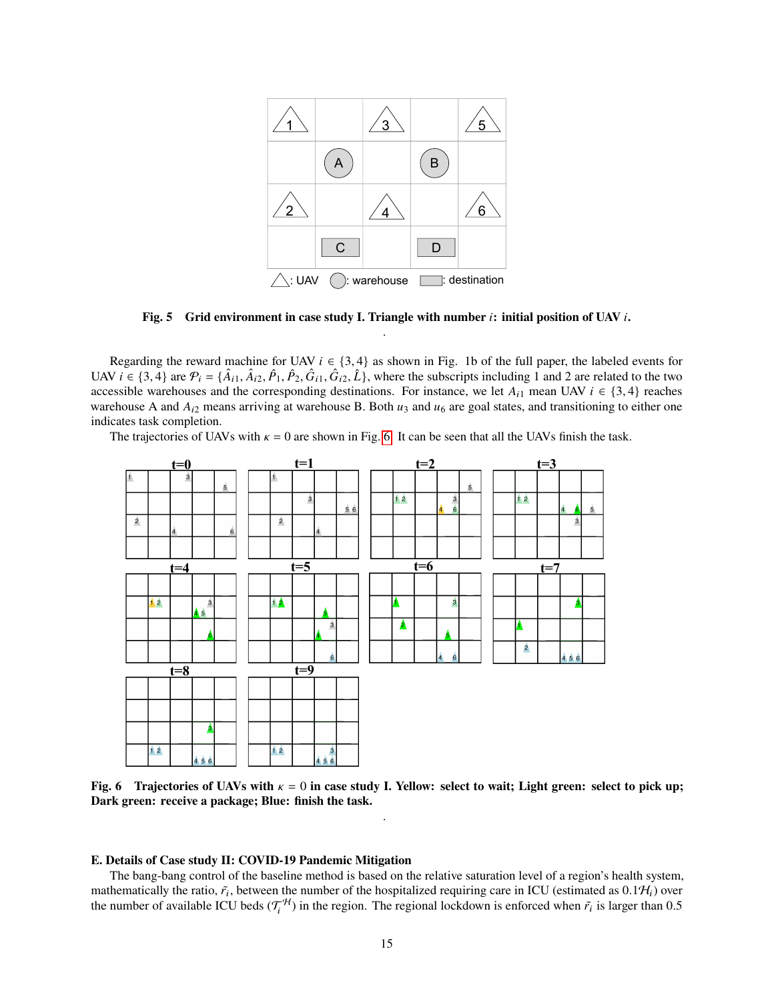<span id="page-14-0"></span>

**Fig. 5 Grid environment in case study I. Triangle with number : initial position of UAV .** .

Regarding the reward machine for UAV  $i \in \{3, 4\}$  as shown in Fig. 1b of the full paper, the labeled events for UAV  $i \in \{3, 4\}$  are  $\mathcal{P}_i = \{\hat{A}_{i1}, \hat{A}_{i2}, \hat{P}_1, \hat{P}_2, \hat{G}_{i1}, \hat{G}_{i2}, \hat{L}\}$ , where the subscripts including 1 and 2 are related to the two accessible warehouses and the corresponding destinations. For instance, we let  $A_{i1}$  mean UAV  $i \in \{3, 4\}$  reaches warehouse A and  $A_{i2}$  means arriving at warehouse B. Both  $u_3$  and  $u_6$  are goal states, and transitioning to either one indicates task completion.

The trajectories of UAVs with  $\kappa = 0$  are shown in Fig. [6.](#page-14-1) It can be seen that all the UAVs finish the task.

<span id="page-14-1"></span>

**Fig. 6** Trajectories of UAVs with  $\kappa = 0$  in case study I. Yellow: select to wait; Light green: select to pick up; **Dark green: receive a package; Blue: finish the task.** .

#### **E. Details of Case study II: COVID-19 Pandemic Mitigation**

The bang-bang control of the baseline method is based on the relative saturation level of a region's health system, mathematically the ratio,  $\tilde{r}_i$ , between the number of the hospitalized requiring care in ICU (estimated as 0.1 $\mathcal{H}_i$ ) over the number of available ICU beds  $(\mathcal{T}_i^H)$  in the region. The regional lockdown is enforced when  $\tilde{r}_i$  is larger than 0.5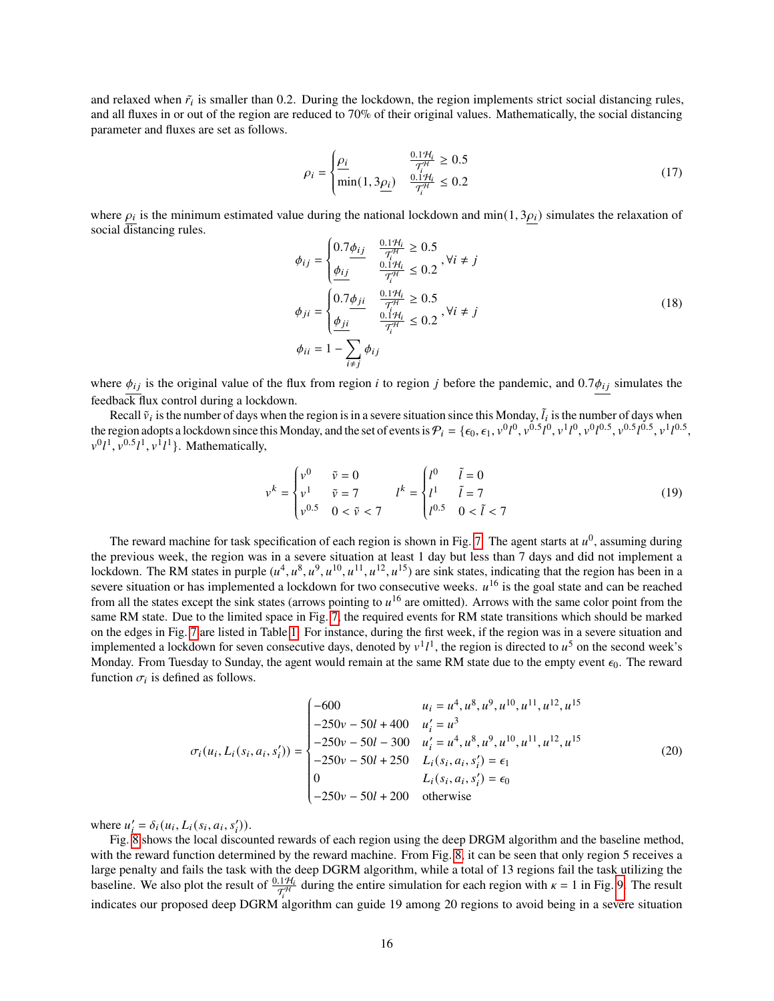and relaxed when  $\tilde{r}_i$  is smaller than 0.2. During the lockdown, the region implements strict social distancing rules, and all fluxes in or out of the region are reduced to 70% of their original values. Mathematically, the social distancing parameter and fluxes are set as follows.

$$
\rho_i = \begin{cases} \frac{\rho_i}{\sqrt{T_i^{H_i}}} & \frac{0.1\mathcal{H}_i}{\mathcal{T}_i^{H_i}} \ge 0.5\\ \min(1, 3\underline{\rho_i}) & \frac{0.1\mathcal{H}_i}{\mathcal{T}_i^{H_i}} \le 0.2 \end{cases}
$$
(17)

where  $\rho_i$  is the minimum estimated value during the national lockdown and min(1, 3 $\rho_i$ ) simulates the relaxation of social distancing rules.

$$
\phi_{ij} = \begin{cases}\n0.7 \frac{\phi_{ij}}{\tau_i^H} & \frac{0.1\mathcal{H}_i}{\tau_i^H} \ge 0.5 \\
\frac{\phi_{ij}}{i} & \frac{0.1\mathcal{H}_i}{\tau_i^H} \le 0.2, \forall i \ne j\n\end{cases}
$$
\n
$$
\phi_{ji} = \begin{cases}\n0.7 \frac{\phi_{ji}}{\tau_i^H} & \frac{0.1\mathcal{H}_i}{\tau_i^H} \ge 0.5 \\
\frac{\phi_{ji}}{\tau_i^H} & \frac{0.1\mathcal{H}_i}{\tau_i^H} \le 0.2, \forall i \ne j\n\end{cases}
$$
\n
$$
\phi_{ii} = 1 - \sum_{i \ne j} \phi_{ij}
$$
\n(18)

where  $\phi_{ij}$  is the original value of the flux from region *i* to region *j* before the pandemic, and 0.7 $\phi_{ij}$  simulates the feedback flux control during a lockdown.

Recall  $\tilde{v}_i$  is the number of days when the region is in a severe situation since this Monday,  $\tilde{l}_i$  is the number of days when the region adopts a lockdown since this Monday, and the set of events is  $P_i = \{\epsilon_0, \epsilon_1, v^0l^0, v^{0.5}l^0, v^1l^0, v^0l^{0.5}, v^{0.5}l^{0.5}, v^{1.5}l^{0.5}\}$  $v^0 l^1$ ,  $v^{0.5} l^1$ ,  $v^{1 \overline{l}} l^{1 \overline{l}}$ . Mathematically,

$$
v^{k} = \begin{cases} v^{0} & \tilde{v} = 0 \\ v^{1} & \tilde{v} = 7 \\ v^{0.5} & 0 < \tilde{v} < 7 \end{cases} \qquad l^{k} = \begin{cases} l^{0} & \tilde{l} = 0 \\ l^{1} & \tilde{l} = 7 \\ l^{0.5} & 0 < \tilde{l} < 7 \end{cases}
$$
(19)

The reward machine for task specification of each region is shown in Fig. [7.](#page-16-0) The agent starts at  $u^0$ , assuming during the previous week, the region was in a severe situation at least 1 day but less than 7 days and did not implement a lockdown. The RM states in purple  $(u^4, u^8, u^9, u^{10}, u^{11}, u^{12}, u^{15})$  are sink states, indicating that the region has been in a severe situation or has implemented a lockdown for two consecutive weeks.  $u^{16}$  is the goal state and can be reached from all the states except the sink states (arrows pointing to  $u^{16}$  are omitted). Arrows with the same color point from the same RM state. Due to the limited space in Fig. [7,](#page-16-0) the required events for RM state transitions which should be marked on the edges in Fig. [7](#page-16-0) are listed in Table [1.](#page-17-0) For instance, during the first week, if the region was in a severe situation and implemented a lockdown for seven consecutive days, denoted by  $v^1 l^1$ , the region is directed to  $u^5$  on the second week's Monday. From Tuesday to Sunday, the agent would remain at the same RM state due to the empty event  $\epsilon_0$ . The reward function  $\sigma_i$  is defined as follows.

$$
\sigma_i(u_i, L_i(s_i, a_i, s'_i)) = \begin{cases}\n-600 & u_i = u^4, u^8, u^9, u^{10}, u^{11}, u^{12}, u^{15} \\
-250v - 50l + 400 & u'_i = u^3 \\
-250v - 50l - 300 & u'_i = u^4, u^8, u^9, u^{10}, u^{11}, u^{12}, u^{15} \\
-250v - 50l + 250 & L_i(s_i, a_i, s'_i) = \epsilon_1 \\
0 & L_i(s_i, a_i, s'_i) = \epsilon_0 \\
-250v - 50l + 200 & \text{otherwise}\n\end{cases}
$$
\n(20)

where  $u'_{i} = \delta_{i}(u_{i}, L_{i}(s_{i}, a_{i}, s'_{i})).$ 

Fig. [8](#page-16-1) shows the local discounted rewards of each region using the deep DRGM algorithm and the baseline method, with the reward function determined by the reward machine. From Fig. [8,](#page-16-1) it can be seen that only region 5 receives a large penalty and fails the task with the deep DGRM algorithm, while a total of 13 regions fail the task utilizing the baseline. We also plot the result of  $\frac{0.1\mathcal{H}_l}{\mathcal{T}_l^H}$  during the entire simulation for each region with  $\kappa = 1$  in Fig. [9.](#page-17-1) The result indicates our proposed deep DGRM algorithm can guide 19 among 20 regions to avoid being in a severe situation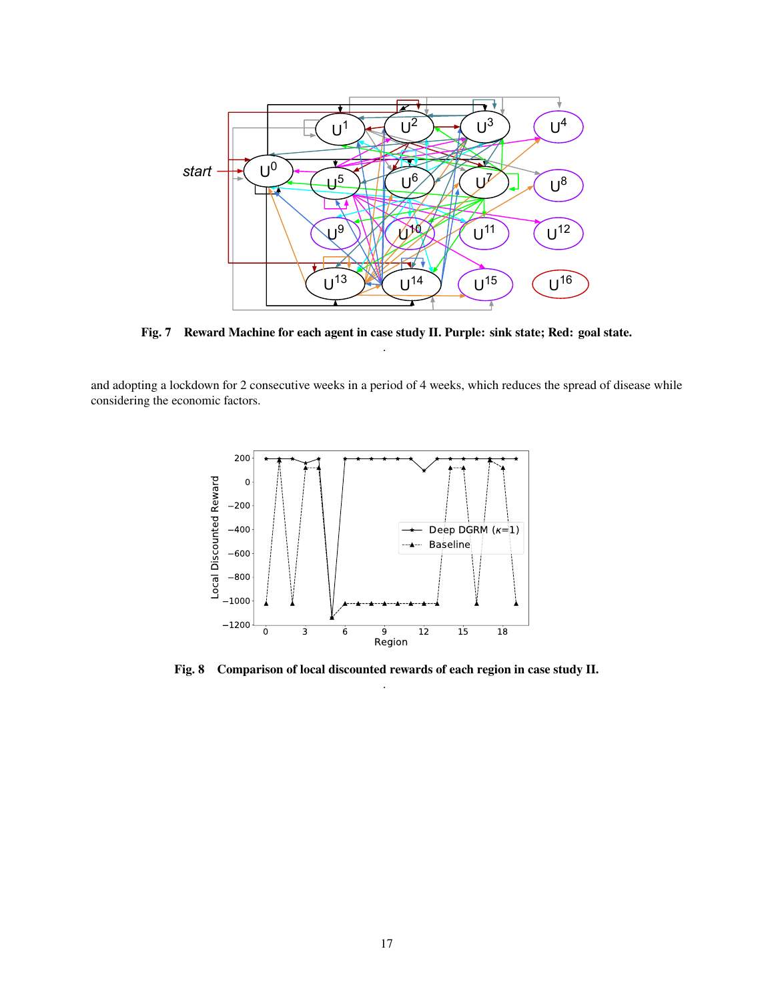<span id="page-16-0"></span>

**Fig. 7 Reward Machine for each agent in case study II. Purple: sink state; Red: goal state.** .

<span id="page-16-1"></span>and adopting a lockdown for 2 consecutive weeks in a period of 4 weeks, which reduces the spread of disease while considering the economic factors.



**Fig. 8 Comparison of local discounted rewards of each region in case study II.** .